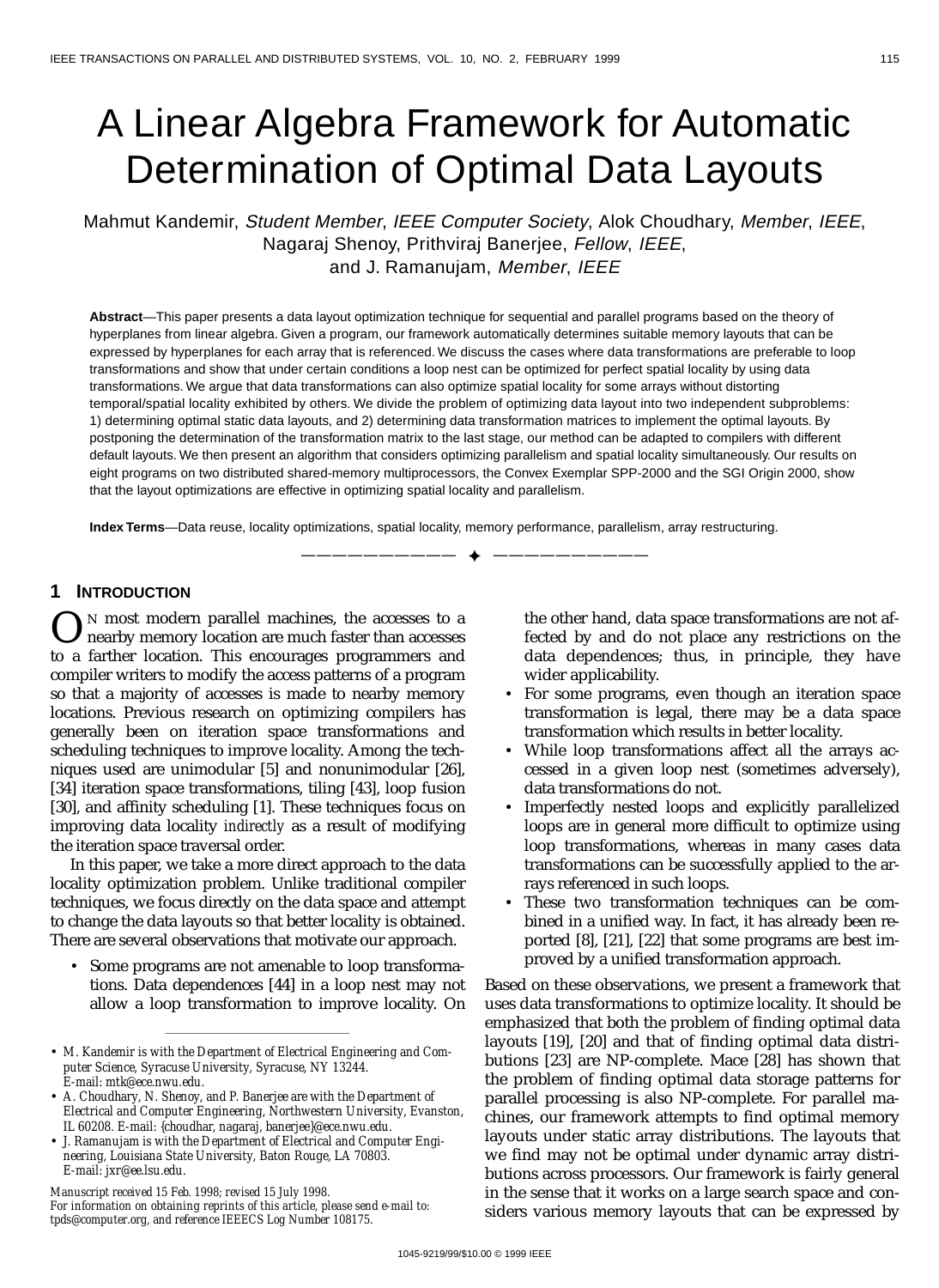# A Linear Algebra Framework for Automatic Determination of Optimal Data Layouts

Mahmut Kandemir, Student Member, IEEE Computer Society, Alok Choudhary, Member, IEEE, Nagaraj Shenoy, Prithviraj Banerjee, Fellow, IEEE, and J. Ramanujam, Member, IEEE

**Abstract**—This paper presents a data layout optimization technique for sequential and parallel programs based on the theory of hyperplanes from linear algebra. Given a program, our framework automatically determines suitable memory layouts that can be expressed by hyperplanes for each array that is referenced. We discuss the cases where data transformations are preferable to loop transformations and show that under certain conditions a loop nest can be optimized for perfect spatial locality by using data transformations. We argue that data transformations can also optimize spatial locality for some arrays without distorting temporal/spatial locality exhibited by others. We divide the problem of optimizing data layout into two independent subproblems: 1) determining optimal static data layouts, and 2) determining data transformation matrices to implement the optimal layouts. By postponing the determination of the transformation matrix to the last stage, our method can be adapted to compilers with different default layouts. We then present an algorithm that considers optimizing parallelism and spatial locality simultaneously. Our results on eight programs on two distributed shared-memory multiprocessors, the Convex Exemplar SPP-2000 and the SGI Origin 2000, show that the layout optimizations are effective in optimizing spatial locality and parallelism.

——————————F——————————

**Index Terms**—Data reuse, locality optimizations, spatial locality, memory performance, parallelism, array restructuring.

## **1 INTRODUCTION**

N most modern parallel machines, the accesses to a nearby memory location are much faster than accesses **C** N most modern parallel machines, the accesses to a nearby memory location are much faster than accesses to a farther location. This encourages programmers and compiler writers to modify the access patterns of a program so that a majority of accesses is made to nearby memory locations. Previous research on optimizing compilers has generally been on iteration space transformations and scheduling techniques to improve locality. Among the techniques used are unimodular [5] and nonunimodular [26], [34] iteration space transformations, tiling [43], loop fusion [30], and affinity scheduling [1]. These techniques focus on improving data locality *indirectly* as a result of modifying the iteration space traversal order.

In this paper, we take a more direct approach to the data locality optimization problem. Unlike traditional compiler techniques, we focus directly on the data space and attempt to change the data layouts so that better locality is obtained. There are several observations that motivate our approach.

- Some programs are not amenable to loop transformations. Data dependences [44] in a loop nest may not allow a loop transformation to improve locality. On
- *M. Kandemir is with the Department of Electrical Engineering and Computer Science, Syracuse University, Syracuse, NY 13244. E-mail: mtk@ece.nwu.edu.*

²²²²²²²²²²²²²²²²

- *A. Choudhary, N. Shenoy, and P. Banerjee are with the Department of Electrical and Computer Engineering, Northwestern University, Evanston, IL 60208. E-mail: {choudhar, nagaraj, banerjee}@ece.nwu.edu.*
- *J. Ramanujam is with the Department of Electrical and Computer Engineering, Louisiana State University, Baton Rouge, LA 70803. E-mail: jxr@ee.lsu.edu.*

*Manuscript received 15 Feb. 1998; revised 15 July 1998. For information on obtaining reprints of this article, please send e-mail to: tpds@computer.org, and reference IEEECS Log Number 108175.*

the other hand, data space transformations are not affected by and do not place any restrictions on the data dependences; thus, in principle, they have wider applicability.

- For some programs, even though an iteration space transformation is legal, there may be a data space transformation which results in better locality.
- While loop transformations affect all the arrays accessed in a given loop nest (sometimes adversely), data transformations do not.
- Imperfectly nested loops and explicitly parallelized loops are in general more difficult to optimize using loop transformations, whereas in many cases data transformations can be successfully applied to the arrays referenced in such loops.
- These two transformation techniques can be combined in a unified way. In fact, it has already been reported [8], [21], [22] that some programs are best improved by a unified transformation approach.

Based on these observations, we present a framework that uses data transformations to optimize locality. It should be emphasized that both the problem of finding optimal data layouts [19], [20] and that of finding optimal data distributions [23] are NP-complete. Mace [28] has shown that the problem of finding optimal data storage patterns for parallel processing is also NP-complete. For parallel machines, our framework attempts to find optimal memory layouts under static array distributions. The layouts that we find may not be optimal under dynamic array distributions across processors. Our framework is fairly general in the sense that it works on a large search space and considers various memory layouts that can be expressed by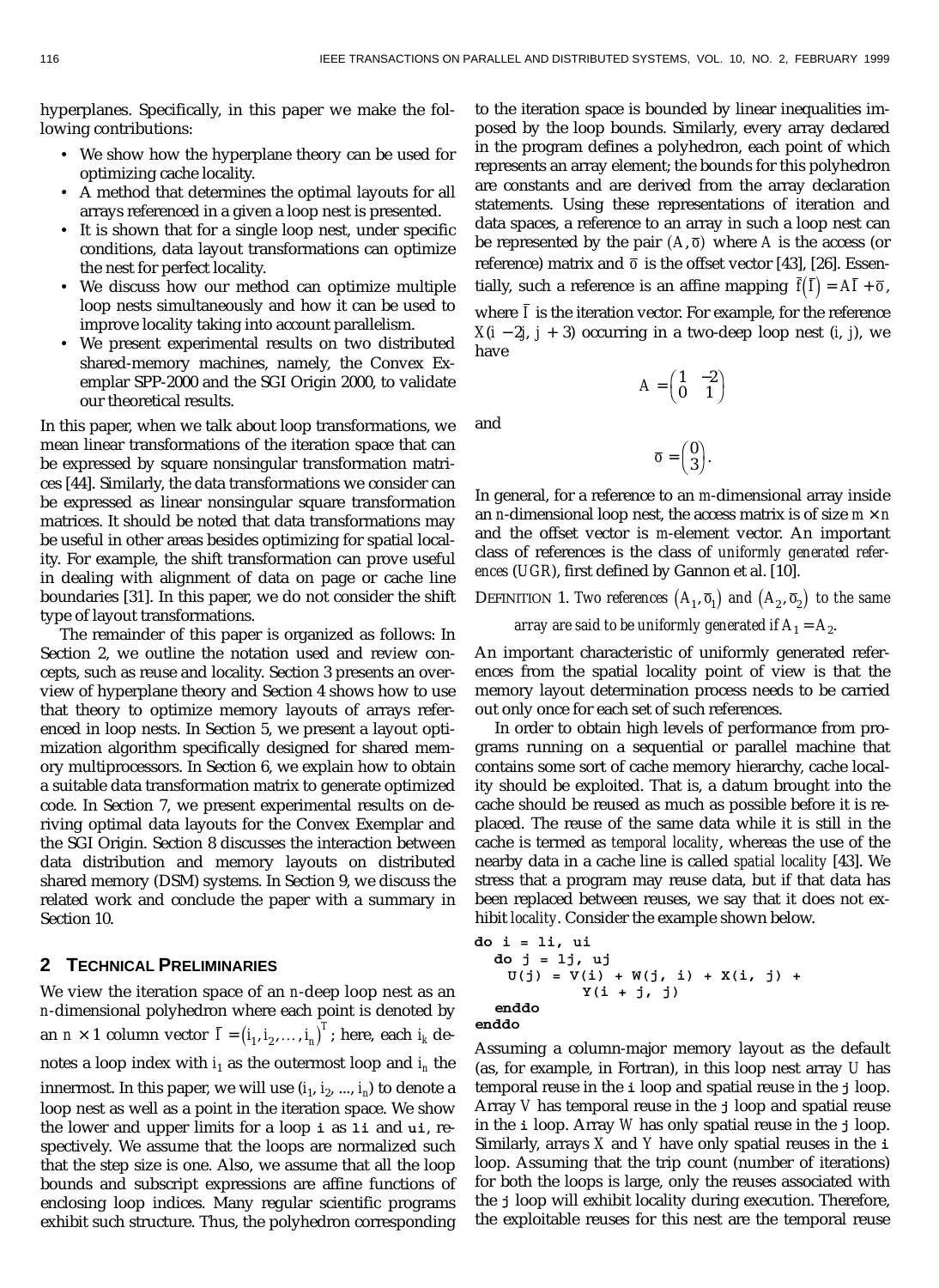and

hyperplanes. Specifically, in this paper we make the following contributions:

- We show how the hyperplane theory can be used for optimizing cache locality.
- A method that determines the optimal layouts for all arrays referenced in a given a loop nest is presented.
- It is shown that for a single loop nest, under specific conditions, data layout transformations can optimize the nest for perfect locality.
- We discuss how our method can optimize multiple loop nests simultaneously and how it can be used to improve locality taking into account parallelism.
- We present experimental results on two distributed shared-memory machines, namely, the Convex Exemplar SPP-2000 and the SGI Origin 2000, to validate our theoretical results.

In this paper, when we talk about loop transformations, we mean linear transformations of the iteration space that can be expressed by square nonsingular transformation matrices [44]. Similarly, the data transformations we consider can be expressed as linear nonsingular square transformation matrices. It should be noted that data transformations may be useful in other areas besides optimizing for spatial locality. For example, the shift transformation can prove useful in dealing with alignment of data on page or cache line boundaries [31]. In this paper, we do not consider the shift type of layout transformations.

The remainder of this paper is organized as follows: In Section 2, we outline the notation used and review concepts, such as reuse and locality. Section 3 presents an overview of hyperplane theory and Section 4 shows how to use that theory to optimize memory layouts of arrays referenced in loop nests. In Section 5, we present a layout optimization algorithm specifically designed for shared memory multiprocessors. In Section 6, we explain how to obtain a suitable data transformation matrix to generate optimized code. In Section 7, we present experimental results on deriving optimal data layouts for the Convex Exemplar and the SGI Origin. Section 8 discusses the interaction between data distribution and memory layouts on distributed shared memory (DSM) systems. In Section 9, we discuss the related work and conclude the paper with a summary in Section 10.

#### **2 TECHNICAL PRELIMINARIES**

We view the iteration space of an *n*-deep loop nest as an *n*-dimensional polyhedron where each point is denoted by an  $n \times 1$  column vector  $\overline{I} = (i_1, i_2, ..., i_n)^T$ ; here, each  $i_k$  denotes a loop index with  $i_1$  as the outermost loop and  $i_n$  the innermost. In this paper, we will use  $(i_1, i_2, ..., i_n)$  to denote a loop nest as well as a point in the iteration space. We show the lower and upper limits for a loop i as li and ui, respectively. We assume that the loops are normalized such that the step size is one. Also, we assume that all the loop bounds and subscript expressions are affine functions of enclosing loop indices. Many regular scientific programs exhibit such structure. Thus, the polyhedron corresponding to the iteration space is bounded by linear inequalities imposed by the loop bounds. Similarly, every array declared in the program defines a polyhedron, each point of which represents an array element; the bounds for this polyhedron are constants and are derived from the array declaration statements. Using these representations of iteration and data spaces, a reference to an array in such a loop nest can be represented by the pair  $(A, \overline{o})$  where *A* is the access (or reference) matrix and  $\bar{\sigma}$  is the offset vector [43], [26]. Essentially, such a reference is an affine mapping  $\bar{f}(\bar{I}) = A\bar{I} + \bar{\sigma}$ , where  $\overline{I}$  is the iteration vector. For example, for the reference *X*( $i$  − 2*j*,  $j$  + 3) occurring in a two-deep loop nest (*i*, *j*), we have

> $A = \begin{pmatrix} 1 & -2 \\ 0 & 1 \end{pmatrix}$  $\overline{\phantom{0}}$ 0 1

$$
\overline{\mathbf{0}} = \begin{pmatrix} 0 \\ 3 \end{pmatrix}.
$$

In general, for a reference to an *m*-dimensional array inside an *n*-dimensional loop nest, the access matrix is of size  $m \times n$ and the offset vector is *m*-element vector. An important class of references is the class of *uniformly generated references* (*UGR*), first defined by Gannon et al. [10].

DEFINITION 1. *Two references*  $(A_1, \overline{a}_1)$  *and*  $(A_2, \overline{a}_2)$  *to the same* 

*array are said to be uniformly generated if*  $A_1 = A_2$ .

An important characteristic of uniformly generated references from the spatial locality point of view is that the memory layout determination process needs to be carried out only once for each set of such references.

In order to obtain high levels of performance from programs running on a sequential or parallel machine that contains some sort of cache memory hierarchy, cache locality should be exploited. That is, a datum brought into the cache should be reused as much as possible before it is replaced. The reuse of the same data while it is still in the cache is termed as *temporal locality*, whereas the use of the nearby data in a cache line is called *spatial locality* [43]. We stress that a program may reuse data, but if that data has been replaced between reuses, we say that it does not exhibit *locality*. Consider the example shown below.

```
do i = li, ui
  do j = lj, uj
   U(j) = V(i) + W(j, i) + X(i, j) + Y(i + j, j)
  enddo
enddo
```
Assuming a column-major memory layout as the default (as, for example, in Fortran), in this loop nest array *U* has temporal reuse in the i loop and spatial reuse in the j loop. Array *V* has temporal reuse in the j loop and spatial reuse in the i loop. Array *W* has only spatial reuse in the j loop. Similarly, arrays *X* and *Y* have only spatial reuses in the i loop. Assuming that the trip count (number of iterations) for both the loops is large, only the reuses associated with the j loop will exhibit locality during execution. Therefore, the exploitable reuses for this nest are the temporal reuse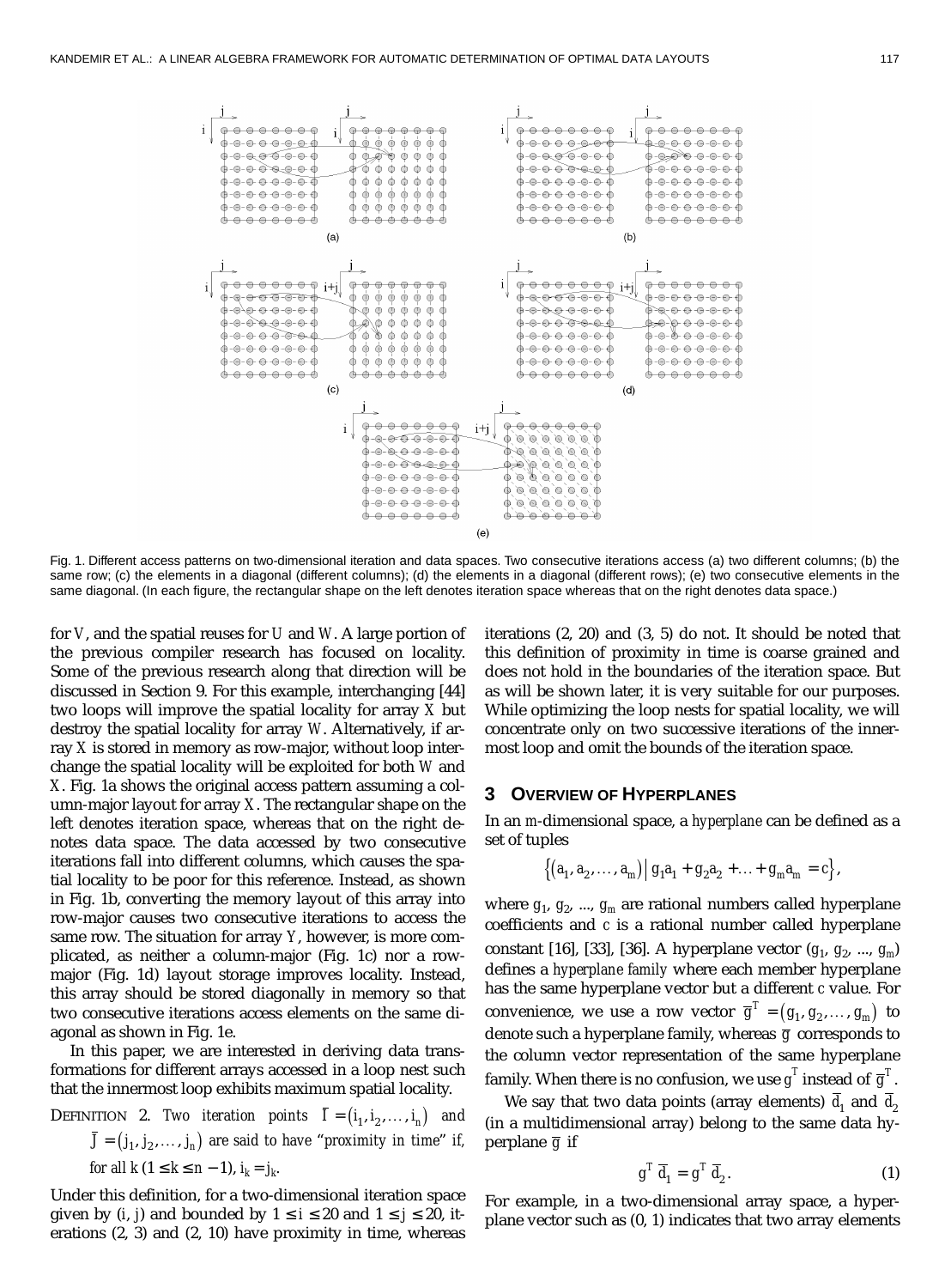

Fig. 1. Different access patterns on two-dimensional iteration and data spaces. Two consecutive iterations access (a) two different columns; (b) the same row; (c) the elements in a diagonal (different columns); (d) the elements in a diagonal (different rows); (e) two consecutive elements in the same diagonal. (In each figure, the rectangular shape on the left denotes iteration space whereas that on the right denotes data space.)

for *V*, and the spatial reuses for *U* and *W*. A large portion of the previous compiler research has focused on locality. Some of the previous research along that direction will be discussed in Section 9. For this example, interchanging [44] two loops will improve the spatial locality for array *X* but destroy the spatial locality for array *W*. Alternatively, if array *X* is stored in memory as row-major, without loop interchange the spatial locality will be exploited for both *W* and *X*. Fig. 1a shows the original access pattern assuming a column-major layout for array *X*. The rectangular shape on the left denotes iteration space, whereas that on the right denotes data space. The data accessed by two consecutive iterations fall into different columns, which causes the spatial locality to be poor for this reference. Instead, as shown in Fig. 1b, converting the memory layout of this array into row-major causes two consecutive iterations to access the same row. The situation for array *Y*, however, is more complicated, as neither a column-major (Fig. 1c) nor a rowmajor (Fig. 1d) layout storage improves locality. Instead, this array should be stored diagonally in memory so that two consecutive iterations access elements on the same diagonal as shown in Fig. 1e.

In this paper, we are interested in deriving data transformations for different arrays accessed in a loop nest such that the innermost loop exhibits maximum spatial locality.

## **DEFINITION** 2. *Two iteration points*  $\overline{I} = (i_1, i_2, \dots, i_n)$  *and*  $\bar{J} = (j_1, j_2, \ldots, j_n)$  are said to have "proximity in time" if, *for all k*  $(1 \le k \le n-1)$ ,  $i_k = j_k$ .

Under this definition, for a two-dimensional iteration space given by (*i*, *j*) and bounded by  $1 \le i \le 20$  and  $1 \le i \le 20$ , iterations (2, 3) and (2, 10) have proximity in time, whereas iterations (2, 20) and (3, 5) do not. It should be noted that this definition of proximity in time is coarse grained and does not hold in the boundaries of the iteration space. But as will be shown later, it is very suitable for our purposes. While optimizing the loop nests for spatial locality, we will concentrate only on two successive iterations of the innermost loop and omit the bounds of the iteration space.

#### **3 OVERVIEW OF HYPERPLANES**

In an *m*-dimensional space, a *hyperplane* can be defined as a set of tuples

$$
\{(a_1, a_2,..., a_m) | g_1a_1 + g_2a_2 + ... + g_ma_m = c\},\
$$

where  $g_1, g_2, ..., g_m$  are rational numbers called hyperplane coefficients and *c* is a rational number called hyperplane constant [16], [33], [36]. A hyperplane vector (*g*1, *g*2, ..., *gm*) defines a *hyperplane family* where each member hyperplane has the same hyperplane vector but a different *c* value. For convenience, we use a row vector  $\overline{g}^T = (g_1, g_2, ..., g_m)$  to denote such a hyperplane family, whereas *g* corresponds to the column vector representation of the same hyperplane family. When there is no confusion, we use  $g^T$  instead of  $\overline{g}^T.$ 

We say that two data points (array elements)  $\overline{d_1}$  and  $\overline{d_2}$ (in a multidimensional array) belong to the same data hyperplane *g* if

$$
g^T \overline{d}_1 = g^T \overline{d}_2. \tag{1}
$$

For example, in a two-dimensional array space, a hyperplane vector such as (0, 1) indicates that two array elements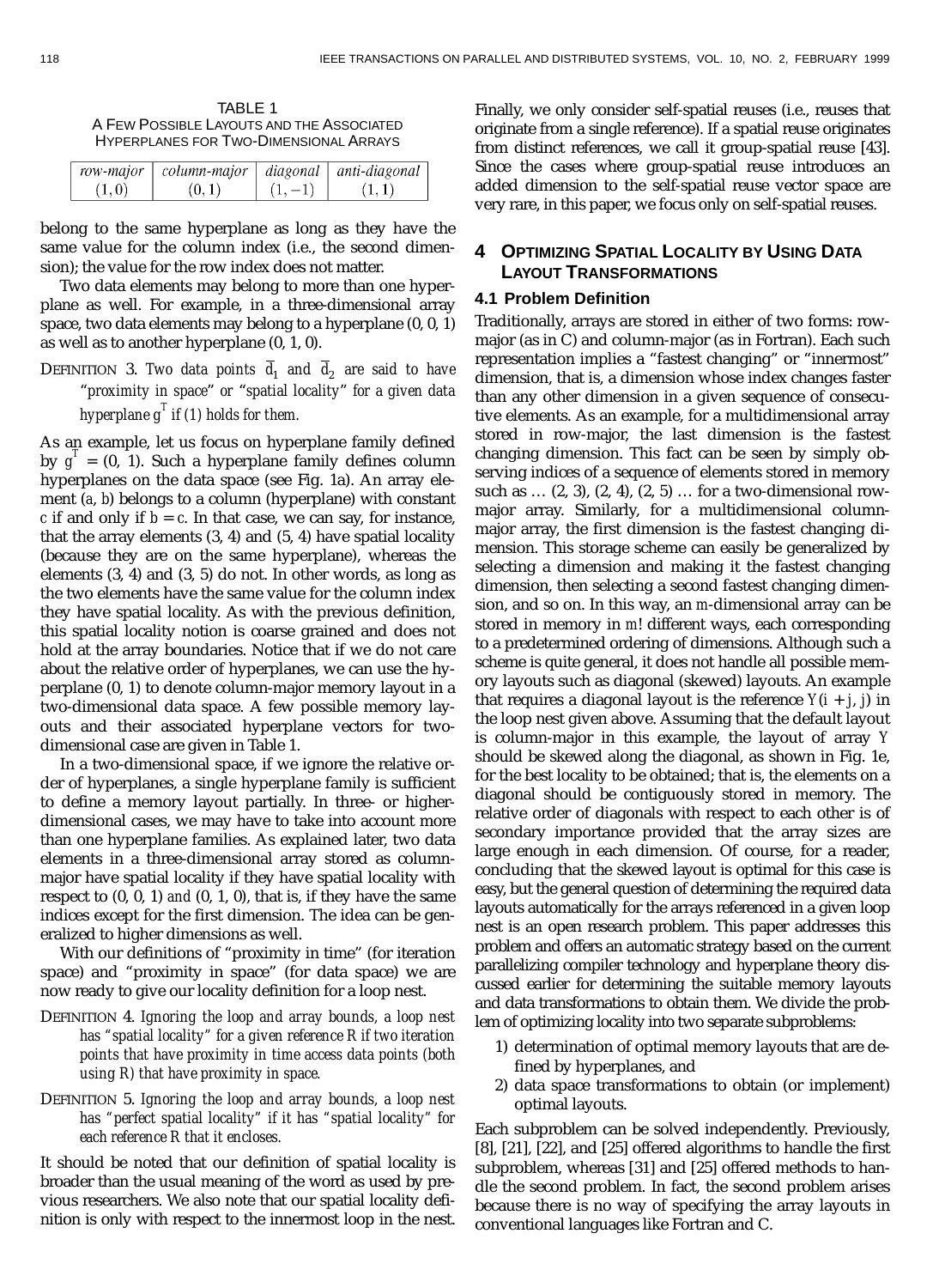TABLE 1 A FEW POSSIBLE LAYOUTS AND THE ASSOCIATED HYPERPLANES FOR TWO-DIMENSIONAL ARRAYS

| row-major | column-major   diagonal   anti-diagonal |  |
|-----------|-----------------------------------------|--|
| (1,0)     | (0,1)                                   |  |

belong to the same hyperplane as long as they have the same value for the column index (i.e., the second dimension); the value for the row index does not matter.

Two data elements may belong to more than one hyperplane as well. For example, in a three-dimensional array space, two data elements may belong to a hyperplane (0, 0, 1) as well as to another hyperplane (0, 1, 0).

DEFINITION 3. *Two data points*  $\overline{d}_1$  *and*  $\overline{d}_2$  *are said to have* "*proximity in space*" *or* "*spatial locality*" *for a given data hyperplane*  $g^T$  *if (1) holds for them.* 

As an example, let us focus on hyperplane family defined by  $g^T = (0, 1)$ . Such a hyperplane family defines column hyperplanes on the data space (see Fig. 1a). An array element (*a*, *b*) belongs to a column (hyperplane) with constant *c* if and only if  $b = c$ . In that case, we can say, for instance, that the array elements  $(3, 4)$  and  $(5, 4)$  have spatial locality (because they are on the same hyperplane), whereas the elements (3, 4) and (3, 5) do not. In other words, as long as the two elements have the same value for the column index they have spatial locality. As with the previous definition, this spatial locality notion is coarse grained and does not hold at the array boundaries. Notice that if we do not care about the relative order of hyperplanes, we can use the hyperplane (0, 1) to denote column-major memory layout in a two-dimensional data space. A few possible memory layouts and their associated hyperplane vectors for twodimensional case are given in Table 1.

In a two-dimensional space, if we ignore the relative order of hyperplanes, a single hyperplane family is sufficient to define a memory layout partially. In three- or higherdimensional cases, we may have to take into account more than one hyperplane families. As explained later, two data elements in a three-dimensional array stored as columnmajor have spatial locality if they have spatial locality with respect to (0, 0, 1) *and* (0, 1, 0), that is, if they have the same indices except for the first dimension. The idea can be generalized to higher dimensions as well.

With our definitions of "proximity in time" (for iteration space) and "proximity in space" (for data space) we are now ready to give our locality definition for a loop nest.

- DEFINITION 4. *Ignoring the loop and array bounds, a loop nest has "spatial locality" for a given reference R if two iteration points that have proximity in time access data points (both using R) that have proximity in space.*
- DEFINITION 5. *Ignoring the loop and array bounds, a loop nest has "perfect spatial locality" if it has "spatial locality" for each reference R that it encloses.*

It should be noted that our definition of spatial locality is broader than the usual meaning of the word as used by previous researchers. We also note that our spatial locality definition is only with respect to the innermost loop in the nest.

Finally, we only consider self-spatial reuses (i.e., reuses that originate from a single reference). If a spatial reuse originates from distinct references, we call it group-spatial reuse [43]. Since the cases where group-spatial reuse introduces an added dimension to the self-spatial reuse vector space are very rare, in this paper, we focus only on self-spatial reuses.

## **4 OPTIMIZING SPATIAL LOCALITY BY USING DATA LAYOUT TRANSFORMATIONS**

#### **4.1 Problem Definition**

Traditionally, arrays are stored in either of two forms: rowmajor (as in C) and column-major (as in Fortran). Each such representation implies a "fastest changing" or "innermost" dimension, that is, a dimension whose index changes faster than any other dimension in a given sequence of consecutive elements. As an example, for a multidimensional array stored in row-major, the last dimension is the fastest changing dimension. This fact can be seen by simply observing indices of a sequence of elements stored in memory such as … (2, 3), (2, 4), (2, 5) … for a two-dimensional rowmajor array. Similarly, for a multidimensional columnmajor array, the first dimension is the fastest changing dimension. This storage scheme can easily be generalized by selecting a dimension and making it the fastest changing dimension, then selecting a second fastest changing dimension, and so on. In this way, an *m*-dimensional array can be stored in memory in *m*! different ways, each corresponding to a predetermined ordering of dimensions. Although such a scheme is quite general, it does not handle all possible memory layouts such as diagonal (skewed) layouts. An example that requires a diagonal layout is the reference  $Y(i + j, j)$  in the loop nest given above. Assuming that the default layout is column-major in this example, the layout of array *Y* should be skewed along the diagonal, as shown in Fig. 1e, for the best locality to be obtained; that is, the elements on a diagonal should be contiguously stored in memory. The relative order of diagonals with respect to each other is of secondary importance provided that the array sizes are large enough in each dimension. Of course, for a reader, concluding that the skewed layout is optimal for this case is easy, but the general question of determining the required data layouts automatically for the arrays referenced in a given loop nest is an open research problem. This paper addresses this problem and offers an automatic strategy based on the current parallelizing compiler technology and hyperplane theory discussed earlier for determining the suitable memory layouts and data transformations to obtain them. We divide the problem of optimizing locality into two separate subproblems:

- 1) determination of optimal memory layouts that are defined by hyperplanes, and
- 2) data space transformations to obtain (or implement) optimal layouts.

Each subproblem can be solved independently. Previously, [8], [21], [22], and [25] offered algorithms to handle the first subproblem, whereas [31] and [25] offered methods to handle the second problem. In fact, the second problem arises because there is no way of specifying the array layouts in conventional languages like Fortran and C.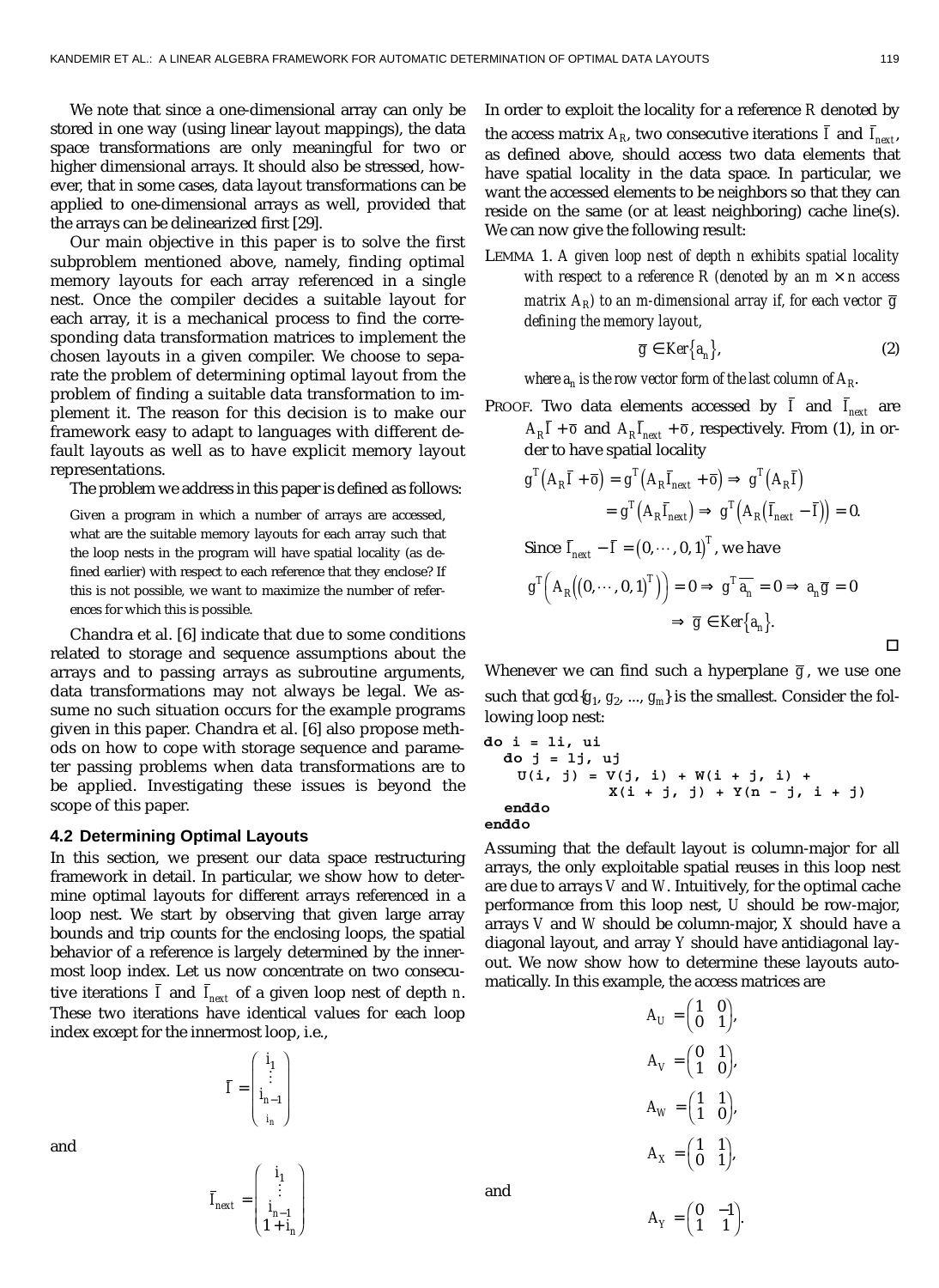We note that since a one-dimensional array can only be stored in one way (using linear layout mappings), the data space transformations are only meaningful for two or higher dimensional arrays. It should also be stressed, however, that in some cases, data layout transformations can be applied to one-dimensional arrays as well, provided that the arrays can be delinearized first [29].

Our main objective in this paper is to solve the first subproblem mentioned above, namely, finding optimal memory layouts for each array referenced in a single nest. Once the compiler decides a suitable layout for each array, it is a mechanical process to find the corresponding data transformation matrices to implement the chosen layouts in a given compiler. We choose to separate the problem of determining optimal layout from the problem of finding a suitable data transformation to implement it. The reason for this decision is to make our framework easy to adapt to languages with different default layouts as well as to have explicit memory layout representations.

The problem we address in this paper is defined as follows:

Given a program in which a number of arrays are accessed, what are the suitable memory layouts for each array such that the loop nests in the program will have spatial locality (as defined earlier) with respect to each reference that they enclose? If this is not possible, we want to maximize the number of references for which this is possible.

Chandra et al. [6] indicate that due to some conditions related to storage and sequence assumptions about the arrays and to passing arrays as subroutine arguments, data transformations may not always be legal. We assume no such situation occurs for the example programs given in this paper. Chandra et al. [6] also propose methods on how to cope with storage sequence and parameter passing problems when data transformations are to be applied. Investigating these issues is beyond the scope of this paper.

#### **4.2 Determining Optimal Layouts**

In this section, we present our data space restructuring framework in detail. In particular, we show how to determine optimal layouts for different arrays referenced in a loop nest. We start by observing that given large array bounds and trip counts for the enclosing loops, the spatial behavior of a reference is largely determined by the innermost loop index. Let us now concentrate on two consecutive iterations  $\bar{I}$  and  $\bar{I}_{next}$  of a given loop nest of depth *n*. These two iterations have identical values for each loop index except for the innermost loop, i.e.,

$$
\bar{I} = \begin{pmatrix} i_1 \\ \vdots \\ i_{n-1} \\ i_n \end{pmatrix}
$$

and

$$
\overline{I}_{next} = \begin{pmatrix} i_1 \\ \vdots \\ i_{n-1} \\ 1 + i_n \end{pmatrix}
$$

In order to exploit the locality for a reference *R* denoted by the access matrix  $A_R$ , two consecutive iterations  $\bar{I}$  and  $\bar{I}_{\text{next}}$ , as defined above, should access two data elements that have spatial locality in the data space. In particular, we want the accessed elements to be neighbors so that they can reside on the same (or at least neighboring) cache line(s). We can now give the following result:

LEMMA 1. *A given loop nest of depth n exhibits spatial locality with respect to a reference R (denoted by an*  $m \times n$  *access matrix*  $A_R$ ) to an m-dimensional array if, for each vector  $\overline{g}$ *defining the memory layout,*

$$
\overline{g} \in Ker\big\{a_n\big\},\tag{2}
$$

*where*  $a_n$  *is the row vector form of the last column of*  $A_R$ .

PROOF. Two data elements accessed by  $\overline{I}$  and  $\overline{I}_{next}$  are  $A_R\overline{I} + \overline{\sigma}$  and  $A_R\overline{I}_{next} + \overline{\sigma}$ , respectively. From (1), in order to have spatial locality

$$
g^{T}(A_{R}\overline{I} + \overline{o}) = g^{T}(A_{R}\overline{I}_{next} + \overline{o}) \Rightarrow g^{T}(A_{R}\overline{I})
$$
  
\n
$$
= g^{T}(A_{R}\overline{I}_{next}) \Rightarrow g^{T}(A_{R}(\overline{I}_{next} - \overline{I})) = 0.
$$
  
\nSince  $\overline{I}_{next} - \overline{I} = (0, \dots, 0, 1)^{T}$ , we have  
\n
$$
g^{T}(A_{R}((0, \dots, 0, 1)^{T})) = 0 \Rightarrow g^{T}\overline{a_{n}} = 0 \Rightarrow a_{n}\overline{g} = 0
$$
  
\n
$$
\Rightarrow \overline{g} \in Ker\{a_{n}\}.
$$

Whenever we can find such a hyperplane  $\bar{g}$ , we use one such that  $gcd{g_1, g_2, ..., g_m}$  is the smallest. Consider the following loop nest:

do i = li, ui do j = lj, uj U(i, j) = V(j, i) + W(i + j, i) + X(i + j, j) + Y(n - j, i + j) enddo enddo

Assuming that the default layout is column-major for all arrays, the only exploitable spatial reuses in this loop nest are due to arrays *V* and *W*. Intuitively, for the optimal cache performance from this loop nest, *U* should be row-major, arrays *V* and *W* should be column-major, *X* should have a diagonal layout, and array *Y* should have antidiagonal layout. We now show how to determine these layouts automatically. In this example, the access matrices are

$$
A_U = \begin{pmatrix} 1 & 0 \\ 0 & 1 \end{pmatrix},
$$
  
\n
$$
A_V = \begin{pmatrix} 0 & 1 \\ 1 & 0 \end{pmatrix},
$$
  
\n
$$
A_W = \begin{pmatrix} 1 & 1 \\ 1 & 0 \end{pmatrix},
$$
  
\n
$$
A_X = \begin{pmatrix} 1 & 1 \\ 0 & 1 \end{pmatrix},
$$

and

$$
A_Y = \begin{pmatrix} 0 & -1 \\ 1 & 1 \end{pmatrix}
$$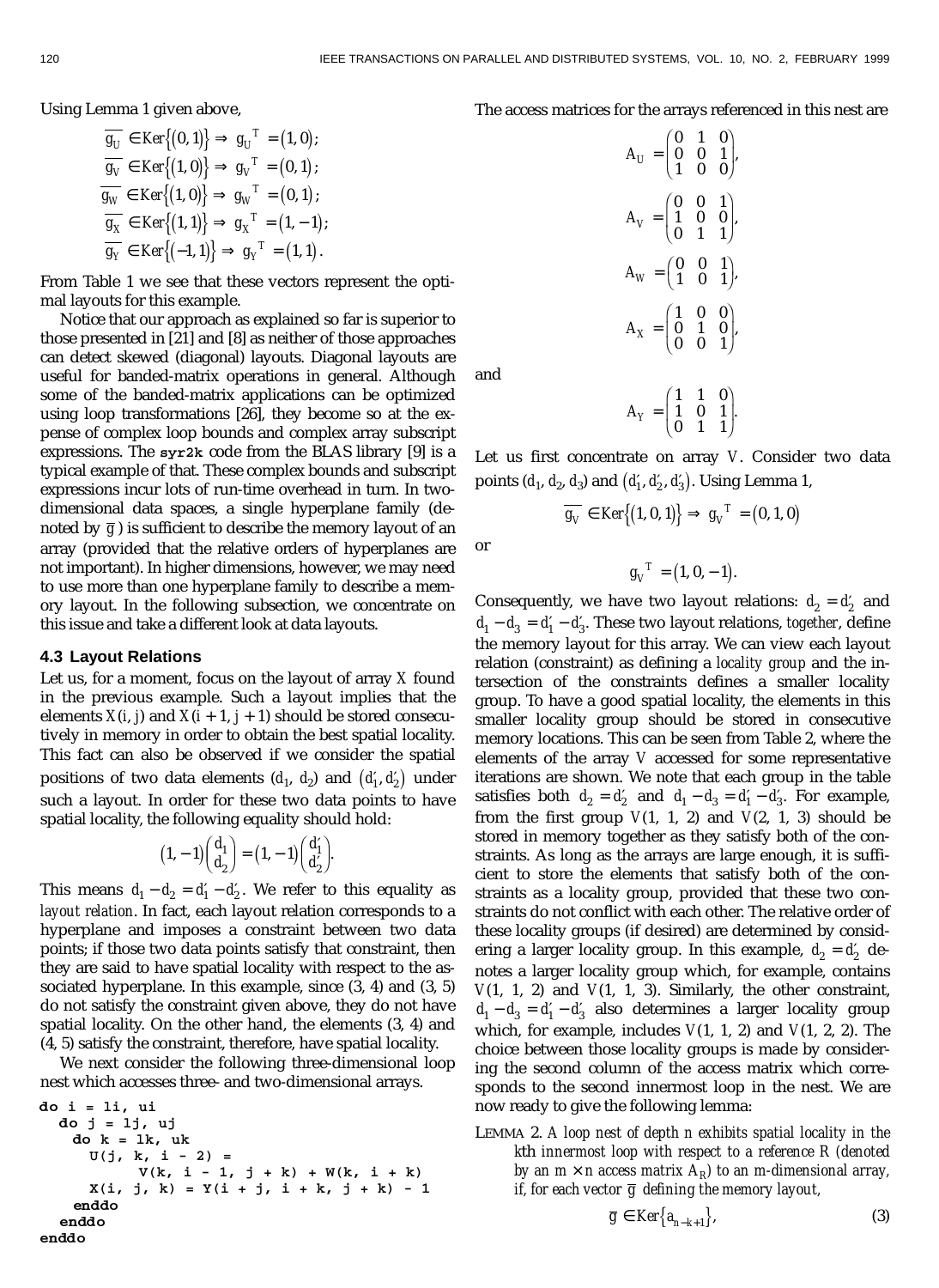Using Lemma 1 given above,

$$
\overline{g_U} \in \text{Ker}\{(0,1)\} \Rightarrow g_U^T = (1,0);
$$
\n
$$
\overline{g_V} \in \text{Ker}\{(1,0)\} \Rightarrow g_V^T = (0,1);
$$
\n
$$
\overline{g_W} \in \text{Ker}\{(1,0)\} \Rightarrow g_W^T = (0,1);
$$
\n
$$
\overline{g_X} \in \text{Ker}\{(1,1)\} \Rightarrow g_X^T = (1,-1);
$$
\n
$$
\overline{g_Y} \in \text{Ker}\{(-1,1)\} \Rightarrow g_Y^T = (1,1).
$$

From Table 1 we see that these vectors represent the optimal layouts for this example.

Notice that our approach as explained so far is superior to those presented in [21] and [8] as neither of those approaches can detect skewed (diagonal) layouts. Diagonal layouts are useful for banded-matrix operations in general. Although some of the banded-matrix applications can be optimized using loop transformations [26], they become so at the expense of complex loop bounds and complex array subscript expressions. The syr2k code from the BLAS library [9] is a typical example of that. These complex bounds and subscript expressions incur lots of run-time overhead in turn. In twodimensional data spaces, a single hyperplane family (denoted by  $\overline{g}$ ) is sufficient to describe the memory layout of an array (provided that the relative orders of hyperplanes are not important). In higher dimensions, however, we may need to use more than one hyperplane family to describe a memory layout. In the following subsection, we concentrate on this issue and take a different look at data layouts.

#### **4.3 Layout Relations**

Let us, for a moment, focus on the layout of array *X* found in the previous example. Such a layout implies that the elements  $X(i, j)$  and  $X(i + 1, j + 1)$  should be stored consecutively in memory in order to obtain the best spatial locality. This fact can also be observed if we consider the spatial positions of two data elements  $(d_1, d_2)$  and  $(d'_1, d'_2)$  under such a layout. In order for these two data points to have spatial locality, the following equality should hold:

$$
(1,-1)\left(\frac{d_1}{d_2}\right)=(1,-1)\left(\frac{d_1'}{d_2'}\right).
$$

This means  $d_1 - d_2 = d_1' - d_2'$ . We refer to this equality as *layout relation*. In fact, each layout relation corresponds to a hyperplane and imposes a constraint between two data points; if those two data points satisfy that constraint, then they are said to have spatial locality with respect to the associated hyperplane. In this example, since (3, 4) and (3, 5) do not satisfy the constraint given above, they do not have spatial locality. On the other hand, the elements (3, 4) and (4, 5) satisfy the constraint, therefore, have spatial locality.

We next consider the following three-dimensional loop nest which accesses three- and two-dimensional arrays.

```
do i = li, ui
  do j = lj, uj
   do k = lk, uk
     U(j, k, i - 2) =V(k, i - 1, j + k) + W(k, i + k)X(i, j, k) = Y(i + j, i + k, j + k) - 1enddo
  enddo
enddo
```
The access matrices for the arrays referenced in this nest are

$$
A_U = \begin{pmatrix} 0 & 1 & 0 \\ 0 & 0 & 1 \\ 1 & 0 & 0 \end{pmatrix},
$$
  
\n
$$
A_V = \begin{pmatrix} 0 & 0 & 1 \\ 1 & 0 & 0 \\ 0 & 1 & 1 \end{pmatrix},
$$
  
\n
$$
A_W = \begin{pmatrix} 0 & 0 & 1 \\ 1 & 0 & 1 \\ 0 & 1 & 0 \end{pmatrix},
$$
  
\n
$$
A_X = \begin{pmatrix} 1 & 0 & 0 \\ 0 & 1 & 0 \\ 0 & 0 & 1 \end{pmatrix},
$$

and

$$
A_Y=\begin{pmatrix}1&1&0\\1&0&1\\0&1&1\end{pmatrix}
$$

Let us first concentrate on array *V*. Consider two data points  $(d_1, d_2, d_3)$  and  $(d'_1, d'_2, d'_3)$ . Using Lemma 1,

$$
\overline{g_V} \in \text{Ker}\big\{ (1,0,1) \big\} \Rightarrow g_V^T = (0,1,0)
$$

or

$$
{g_V}^T = (1,0,-1).
$$

Consequently, we have two layout relations:  $d_2 = d'_2$  and  $d_1 - d_2 = d'_1 - d'_2$ . These two layout relations, *together*, define the memory layout for this array. We can view each layout relation (constraint) as defining a *locality group* and the intersection of the constraints defines a smaller locality group. To have a good spatial locality, the elements in this smaller locality group should be stored in consecutive memory locations. This can be seen from Table 2, where the elements of the array *V* accessed for some representative iterations are shown. We note that each group in the table satisfies both  $d_2 = d'_2$  and  $d_1 - d_3 = d'_1 - d'_3$ . For example, from the first group *V*(1, 1, 2) and *V*(2, 1, 3) should be stored in memory together as they satisfy both of the constraints. As long as the arrays are large enough, it is sufficient to store the elements that satisfy both of the constraints as a locality group, provided that these two constraints do not conflict with each other. The relative order of these locality groups (if desired) are determined by considering a larger locality group. In this example,  $d_2 = d'_2$  denotes a larger locality group which, for example, contains *V*(1, 1, 2) and *V*(1, 1, 3). Similarly, the other constraint,  $d_1 - d_2 = d'_1 - d'_2$  also determines a larger locality group which, for example, includes *V*(1, 1, 2) and *V*(1, 2, 2). The choice between those locality groups is made by considering the second column of the access matrix which corresponds to the second innermost loop in the nest. We are now ready to give the following lemma:

LEMMA 2. *A loop nest of depth n exhibits spatial locality in the k*th *innermost loop with respect to a reference R (denoted by an*  $m \times n$  *access matrix*  $A_R$ *) to an m-dimensional array, if, for each vector g defining the memory layout,*

$$
\overline{g} \in Ker\big\{a_{n-k+1}\big\},\tag{3}
$$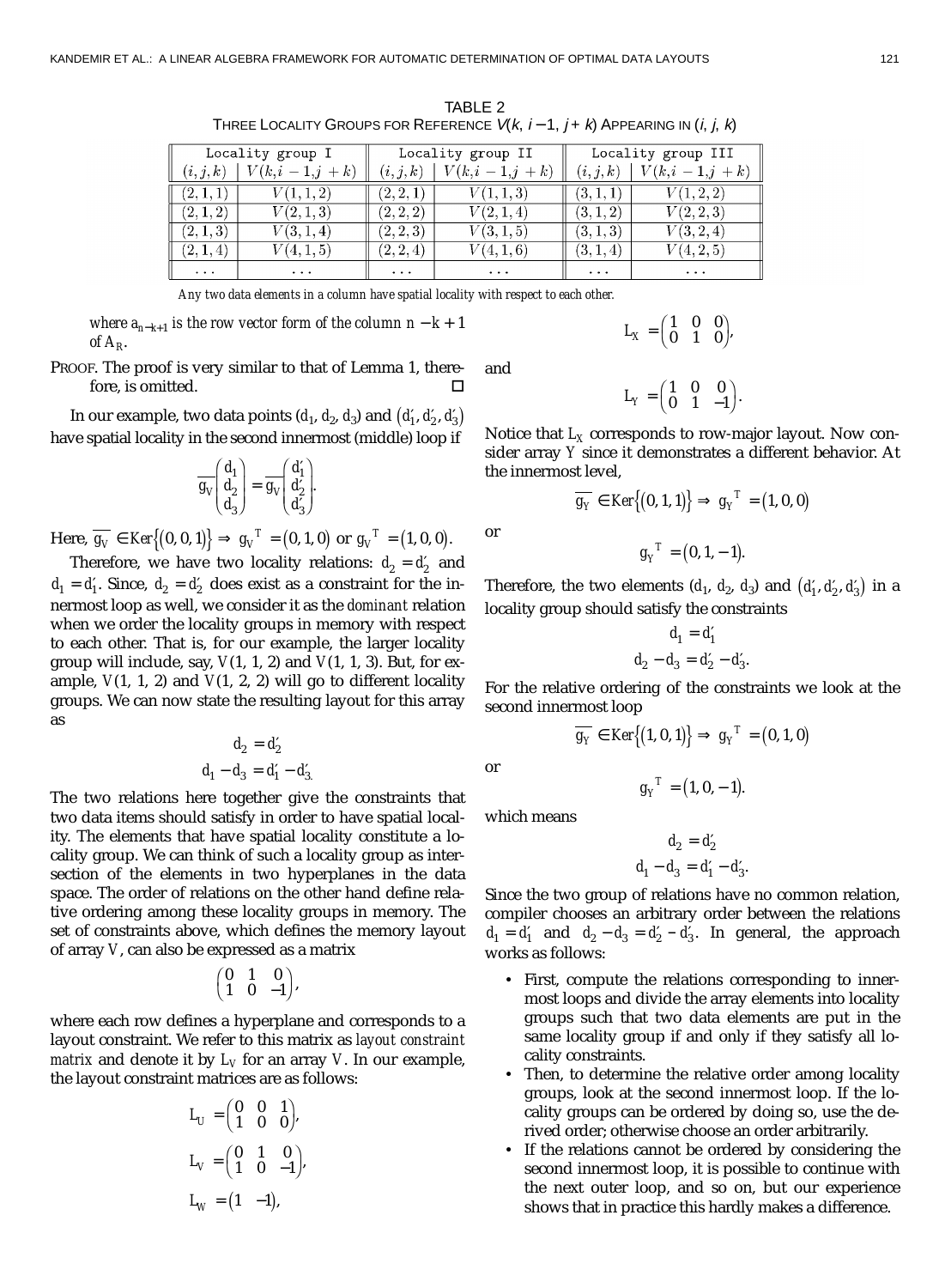|           | Locality group I     |           | Locality group II    | Locality group III |                      |  |  |
|-----------|----------------------|-----------|----------------------|--------------------|----------------------|--|--|
| (i,j,k)   | $V(k, i - 1, j + k)$ | (i, j, k) | $V(k, i - 1, j + k)$ | (i, j, k)          | $V(k, i - 1, j + k)$ |  |  |
| (2,1,1)   | V(1, 1, 2)           | (2, 2, 1) | V(1,1,3)             | (3, 1, 1)          | V(1, 2, 2)           |  |  |
| (2,1,2)   | V(2,1,3)             | (2, 2, 2) | V(2,1,4)             | (3, 1, 2)          | V(2, 2, 3)           |  |  |
| (2, 1, 3) | V(3,1,4)             | (2, 2, 3) | V(3, 1, 5)           | (3, 1, 3)          | V(3, 2, 4)           |  |  |
| (2,1,4)   | V(4,1,5)             | (2, 2, 4) | V(4,1,6)             | (3,1,4)            | V(4, 2, 5)           |  |  |
| $\cdots$  | .                    | $\cdots$  | $\cdots$             | $\cdots$           | $\cdots$             |  |  |

TABLE 2 THREE LOCALITY GROUPS FOR REFERENCE  $V(k, i-1, j+k)$  APPEARING IN  $(i, j, k)$ 

 *Any two data elements in a column have spatial locality with respect to each other.*

*where*  $a_{n-k+1}$  *is the row vector form of the column*  $n-k+1$ *of*  $A_R$ .

PROOF. The proof is very similar to that of Lemma 1, therefore, is omitted.  $\square$ 

In our example, two data points  $(d_1, d_2, d_3)$  and  $(d'_1, d'_2, d'_3)$ have spatial locality in the second innermost (middle) loop if

$$
\overline{g_{V}}\left(\begin{matrix}d_{1} \\ d_{2} \\ d_{3}\end{matrix}\right)=\overline{g_{V}}\left(\begin{matrix}d_{1}' \\ d_{2}' \\ d_{3}'\end{matrix}\right)
$$

Here,  $\overline{g_V} \in \text{Ker}\big\{(0,0,1)\big\} \Rightarrow g_V^T = (0,1,0) \text{ or } g_V^T = (1,0,0).$ 

Therefore, we have two locality relations:  $d_2 = d'_2$  and  $d_1 = d'_1$ . Since,  $d_2 = d'_2$  does exist as a constraint for the innermost loop as well, we consider it as the *dominant* relation when we order the locality groups in memory with respect to each other. That is, for our example, the larger locality group will include, say, *V*(1, 1, 2) and *V*(1, 1, 3). But, for example, *V*(1, 1, 2) and *V*(1, 2, 2) will go to different locality groups. We can now state the resulting layout for this array as

$$
d_2 = d'_2
$$
  

$$
d_1 - d_3 = d'_1 - d'_3
$$

The two relations here together give the constraints that two data items should satisfy in order to have spatial locality. The elements that have spatial locality constitute a locality group. We can think of such a locality group as intersection of the elements in two hyperplanes in the data space. The order of relations on the other hand define relative ordering among these locality groups in memory. The set of constraints above, which defines the memory layout of array *V*, can also be expressed as a matrix

$$
\begin{pmatrix} 0 & 1 & 0 \\ 1 & 0 & -1 \end{pmatrix},
$$

where each row defines a hyperplane and corresponds to a layout constraint. We refer to this matrix as *layout constraint matrix* and denote it by  $L_V$  for an array *V*. In our example, the layout constraint matrices are as follows:

$$
L_U = \begin{pmatrix} 0 & 0 & 1 \\ 1 & 0 & 0 \end{pmatrix},
$$
  
\n
$$
L_V = \begin{pmatrix} 0 & 1 & 0 \\ 1 & 0 & -1 \end{pmatrix},
$$
  
\n
$$
L_W = \begin{pmatrix} 1 & -1 \end{pmatrix},
$$

and

$$
L_X = \begin{pmatrix} 1 & 0 & 0 \\ 0 & 1 & 0 \end{pmatrix},
$$

$$
L_Y = \begin{pmatrix} 1 & 0 & 0 \\ 0 & 1 & -1 \end{pmatrix}.
$$

Notice that  $L_X$  corresponds to row-major layout. Now consider array *Y* since it demonstrates a different behavior. At the innermost level,

$$
\overline{g_Y} \in \text{Ker}\big\{ (0,1,1) \big\} \Rightarrow g_Y^{\,T} = \big( 1,0,0 \big)
$$

 $-1$ ).

or

$$
{\boldsymbol{\mathcal{g}}_Y}^T = \big(0,1,
$$

Therefore, the two elements  $(d_1, d_2, d_3)$  and  $(d'_1, d'_2, d'_3)$  in a locality group should satisfy the constraints

$$
d_1 = d'_1
$$
  

$$
d_2 - d_3 = d'_2 - d'_3.
$$

For the relative ordering of the constraints we look at the second innermost loop

$$
\overline{g_Y} \in \text{Ker}\big\{ (1,0,1) \big\} \Rightarrow g_Y^T = (0,1,0)
$$

or

$$
g_Y^T = (1,0,-1).
$$

which means

$$
d_2 = d'_2
$$
  

$$
d_1 - d_3 = d'_1 - d'_3.
$$

Since the two group of relations have no common relation, compiler chooses an arbitrary order between the relations  $d_1 = d_1'$  and  $d_2 - d_3 = d_2' - d_3'$ . In general, the approach works as follows:

- First, compute the relations corresponding to innermost loops and divide the array elements into locality groups such that two data elements are put in the same locality group if and only if they satisfy all locality constraints.
- Then, to determine the relative order among locality groups, look at the second innermost loop. If the locality groups can be ordered by doing so, use the derived order; otherwise choose an order arbitrarily.
- If the relations cannot be ordered by considering the second innermost loop, it is possible to continue with the next outer loop, and so on, but our experience shows that in practice this hardly makes a difference.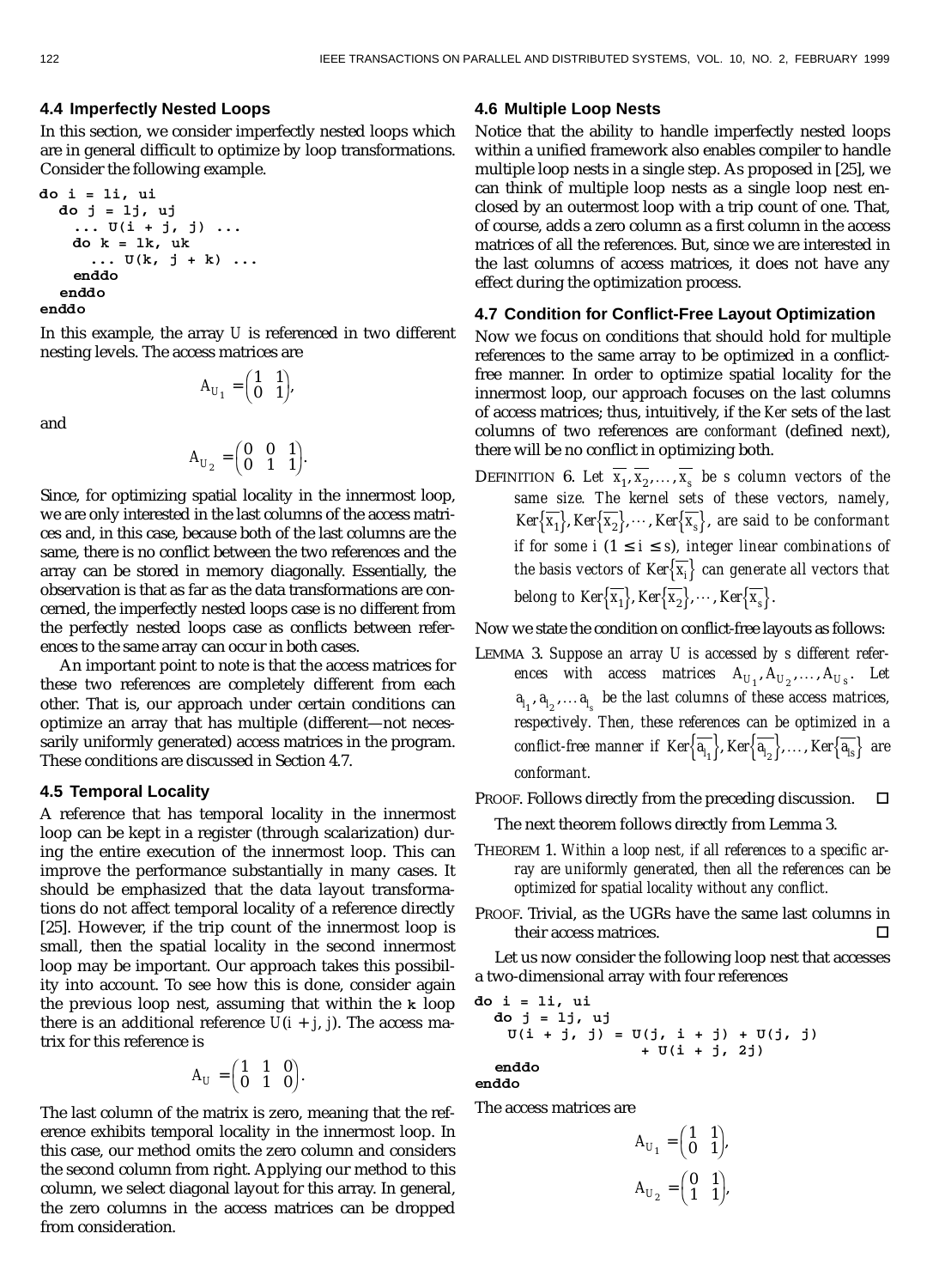#### **4.4 Imperfectly Nested Loops**

In this section, we consider imperfectly nested loops which are in general difficult to optimize by loop transformations. Consider the following example.

do i = li, ui do j = lj, uj ... U(i + j, j) ... do k = lk, uk ... U(k, j + k) ... enddo enddo enddo

In this example, the array *U* is referenced in two different nesting levels. The access matrices are

$$
A_{U_1} = \begin{pmatrix} 1 & 1 \\ 0 & 1 \end{pmatrix},
$$

and

$$
A_{U_2} = \begin{pmatrix} 0 & 0 & 1 \\ 0 & 1 & 1 \end{pmatrix}.
$$

Since, for optimizing spatial locality in the innermost loop, we are only interested in the last columns of the access matrices and, in this case, because both of the last columns are the same, there is no conflict between the two references and the array can be stored in memory diagonally. Essentially, the observation is that as far as the data transformations are concerned, the imperfectly nested loops case is no different from the perfectly nested loops case as conflicts between references to the same array can occur in both cases.

An important point to note is that the access matrices for these two references are completely different from each other. That is, our approach under certain conditions can optimize an array that has multiple (different—not necessarily uniformly generated) access matrices in the program. These conditions are discussed in Section 4.7.

#### **4.5 Temporal Locality**

A reference that has temporal locality in the innermost loop can be kept in a register (through scalarization) during the entire execution of the innermost loop. This can improve the performance substantially in many cases. It should be emphasized that the data layout transformations do not affect temporal locality of a reference directly [25]. However, if the trip count of the innermost loop is small, then the spatial locality in the second innermost loop may be important. Our approach takes this possibility into account. To see how this is done, consider again the previous loop nest, assuming that within the k loop there is an additional reference  $U(i + j, j)$ . The access matrix for this reference is

$$
A_U = \begin{pmatrix} 1 & 1 & 0 \\ 0 & 1 & 0 \end{pmatrix}.
$$

The last column of the matrix is zero, meaning that the reference exhibits temporal locality in the innermost loop. In this case, our method omits the zero column and considers the second column from right. Applying our method to this column, we select diagonal layout for this array. In general, the zero columns in the access matrices can be dropped from consideration.

#### **4.6 Multiple Loop Nests**

Notice that the ability to handle imperfectly nested loops within a unified framework also enables compiler to handle multiple loop nests in a single step. As proposed in [25], we can think of multiple loop nests as a single loop nest enclosed by an outermost loop with a trip count of one. That, of course, adds a zero column as a first column in the access matrices of all the references. But, since we are interested in the last columns of access matrices, it does not have any effect during the optimization process.

#### **4.7 Condition for Conflict-Free Layout Optimization**

Now we focus on conditions that should hold for multiple references to the same array to be optimized in a conflictfree manner. In order to optimize spatial locality for the innermost loop, our approach focuses on the last columns of access matrices; thus, intuitively, if the *Ker* sets of the last columns of two references are *conformant* (defined next), there will be no conflict in optimizing both.

DEFINITION 6. Let  $\overline{x_1}, \overline{x_2}, \ldots, \overline{x_s}$  be *s* column vectors of the *same size. The kernel sets of these vectors, namely,*  $Ker{\overline{X_1}}$ ,  $Ker{\overline{X_2}}$ ,  $\cdots$ ,  $Ker{\overline{X_s}}$ , are said to be conformant *if for some i*  $(1 \le i \le s)$ *, integer linear combinations of the basis vectors of*  $\text{Ker}\{\overline{x_i}\}\)$  *can generate all vectors that belong to*  $Ker{\overline{x_1}}$ ,  $Ker{\overline{x_2}}$ ,  $\cdots$ ,  $Ker{\overline{x_s}}$ .

Now we state the condition on conflict-free layouts as follows:

LEMMA 3. *Suppose an array U is accessed by s different references with access matrices*  $A_{U_1}, A_{U_2}, \ldots, A_{U_s}$ . Let  $a_{l_1}, a_{l_2}, \ldots a_{l_n}$  be the last columns of these access matrices, *respectively. Then, these references can be optimized in a conflict-free manner if*  $Ker\left\{\overline{a_{l_1}}\right\}$ ,  $Ker\left\{\overline{a_{l_2}}\right\}$ , ...,  $Ker\left\{\overline{a_{l_s}}\right\}$  are *conformant.*

PROOF. Follows directly from the preceding discussion.  $\Box$ 

The next theorem follows directly from Lemma 3.

- THEOREM 1. *Within a loop nest, if all references to a specific array are uniformly generated, then all the references can be optimized for spatial locality without any conflict.*
- PROOF. Trivial, as the UGRs have the same last columns in  $\Box$  their access matrices.  $\Box$

Let us now consider the following loop nest that accesses a two-dimensional array with four references

$$
do i = li, ui\ndo j = lj, uj\nU(i + j, j) = U(j, i + j) + U(j, j)\n+ U(i + j, 2j)
$$

enddo enddo

The access matrices are

$$
A_{U_1} = \begin{pmatrix} 1 & 1 \\ 0 & 1 \end{pmatrix},
$$
  

$$
A_{U_2} = \begin{pmatrix} 0 & 1 \\ 1 & 1 \end{pmatrix},
$$

,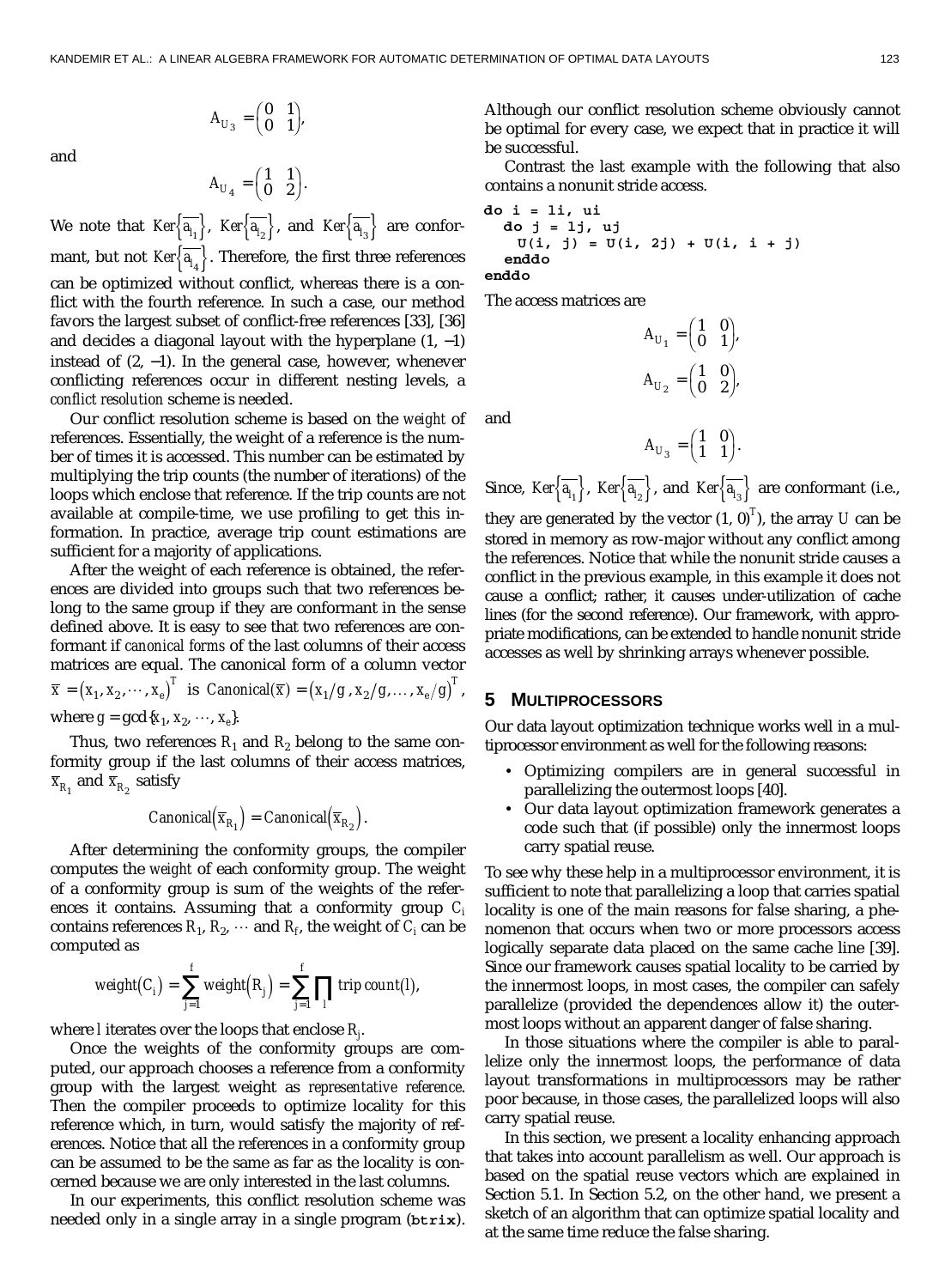$A_{U_3} = \begin{pmatrix} 0 & 1 \\ 0 & 1 \end{pmatrix},$  $\overline{\phantom{0}}$ 

and

$$
A_{U_4} = \begin{pmatrix} 1 & 1 \\ 0 & 2 \end{pmatrix}.
$$

We note that  $\textit{Ker}\big\{\overline{a_{l_1}}\big\}$ ,  $\textit{Ker}\big\{\overline{a_{l_2}}\big\}$ , and  $\textit{Ker}\big\{\overline{a_{l_3}}\big\}$  are conformant, but not  $Ker\left\{\frac{1}{a_{i}}\right\}$ . Therefore, the first three references can be optimized without conflict, whereas there is a conflict with the fourth reference. In such a case, our method favors the largest subset of conflict-free references [33], [36] and decides a diagonal layout with the hyperplane (1, −1) instead of  $(2, -1)$ . In the general case, however, whenever conflicting references occur in different nesting levels, a *conflict resolution* scheme is needed.

Our conflict resolution scheme is based on the *weight* of references. Essentially, the weight of a reference is the number of times it is accessed. This number can be estimated by multiplying the trip counts (the number of iterations) of the loops which enclose that reference. If the trip counts are not available at compile-time, we use profiling to get this information. In practice, average trip count estimations are sufficient for a majority of applications.

After the weight of each reference is obtained, the references are divided into groups such that two references belong to the same group if they are conformant in the sense defined above. It is easy to see that two references are conformant if *canonical forms* of the last columns of their access matrices are equal. The canonical form of a column vector  $\overline{\mathbf{x}} = (x_1, x_2, \cdots, x_e)^T$  is *Canonical* $(\overline{\mathbf{x}}) = (x_1/g, x_2/g, \dots, x_e/g)^T$ , where  $g = \gcd\{x_1, x_2, \dots, x_e\}.$ 

Thus, two references  $R_1$  and  $R_2$  belong to the same conformity group if the last columns of their access matrices,  $\overline{x}_{R_1}$  and  $\overline{x}_{R_2}$  satisfy

$$
Canonical(\overline{x}_{R_1})=Canonical(\overline{x}_{R_2}).
$$

After determining the conformity groups, the compiler computes the *weight* of each conformity group. The weight of a conformity group is sum of the weights of the references it contains. Assuming that a conformity group *Ci* contains references  $R_1, R_2, \cdots$  and  $R_f$ , the weight of  $C_i$  can be computed as

$$
weight(C_i) = \sum_{j=1}^t weight(R_j) = \sum_{j=1}^t \prod_l trip count(l),
$$

where *l* iterates over the loops that enclose *Rj* .

Once the weights of the conformity groups are computed, our approach chooses a reference from a conformity group with the largest weight as *representative reference*. Then the compiler proceeds to optimize locality for this reference which, in turn, would satisfy the majority of references. Notice that all the references in a conformity group can be assumed to be the same as far as the locality is concerned because we are only interested in the last columns.

In our experiments, this conflict resolution scheme was needed only in a single array in a single program (btrix).

Although our conflict resolution scheme obviously cannot be optimal for every case, we expect that in practice it will be successful.

Contrast the last example with the following that also contains a nonunit stride access.

do i = li, ui do j = lj, uj U(i, j) = U(i, 2j) + U(i, i + j) enddo

enddo

and

The access matrices are

$$
A_{U_1} = \begin{pmatrix} 1 & 0 \\ 0 & 1 \end{pmatrix},
$$
  

$$
A_{U_2} = \begin{pmatrix} 1 & 0 \\ 0 & 2 \end{pmatrix},
$$

$$
A_{U_3} = \begin{pmatrix} 1 & 0 \\ 1 & 1 \end{pmatrix}.
$$

Since,  $\textit{Ker}\Big\{\overline{a_{l_1}}\Big\}$ ,  $\textit{Ker}\Big\{\overline{a_{l_2}}\Big\}$ , and  $\textit{Ker}\Big\{\overline{a_{l_3}}\Big\}$  are conformant (i.e.,

they are generated by the vector  $(1, 0)^T$ ), the array  $U$  can be stored in memory as row-major without any conflict among the references. Notice that while the nonunit stride causes a conflict in the previous example, in this example it does not cause a conflict; rather, it causes under-utilization of cache lines (for the second reference). Our framework, with appropriate modifications, can be extended to handle nonunit stride accesses as well by shrinking arrays whenever possible.

#### **5 MULTIPROCESSORS**

Our data layout optimization technique works well in a multiprocessor environment as well for the following reasons:

- Optimizing compilers are in general successful in parallelizing the outermost loops [40].
- Our data layout optimization framework generates a code such that (if possible) only the innermost loops carry spatial reuse.

To see why these help in a multiprocessor environment, it is sufficient to note that parallelizing a loop that carries spatial locality is one of the main reasons for false sharing, a phenomenon that occurs when two or more processors access logically separate data placed on the same cache line [39]. Since our framework causes spatial locality to be carried by the innermost loops, in most cases, the compiler can safely parallelize (provided the dependences allow it) the outermost loops without an apparent danger of false sharing.

In those situations where the compiler is able to parallelize only the innermost loops, the performance of data layout transformations in multiprocessors may be rather poor because, in those cases, the parallelized loops will also carry spatial reuse.

In this section, we present a locality enhancing approach that takes into account parallelism as well. Our approach is based on the spatial reuse vectors which are explained in Section 5.1. In Section 5.2, on the other hand, we present a sketch of an algorithm that can optimize spatial locality and at the same time reduce the false sharing.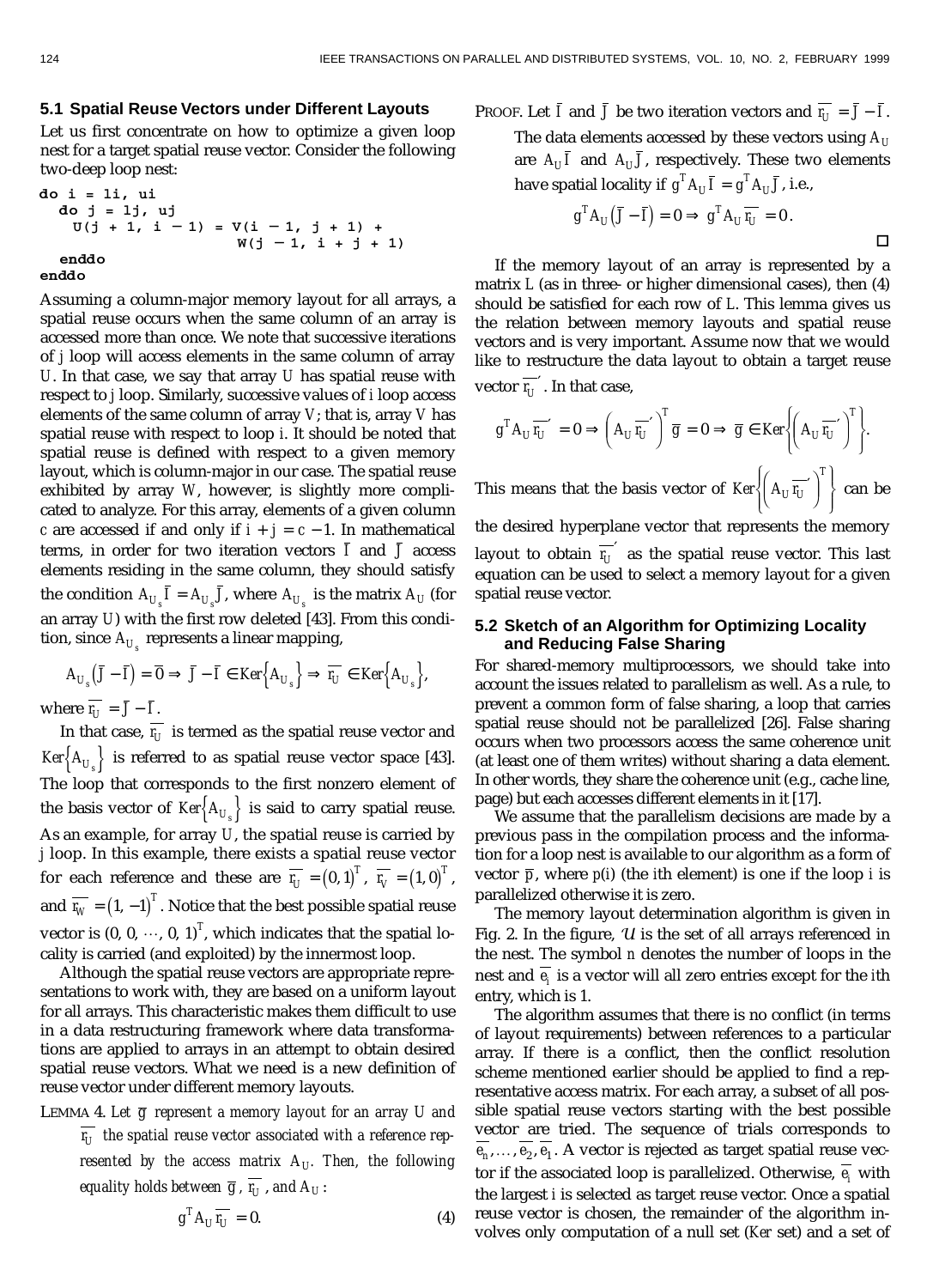#### **5.1 Spatial Reuse Vectors under Different Layouts**

Let us first concentrate on how to optimize a given loop nest for a target spatial reuse vector. Consider the following two-deep loop nest:

do i = li, ui do j = lj, uj U(j + 1, i − 1) = V(i − 1, j + 1) + W(j − 1, i + j + 1) enddo enddo

Assuming a column-major memory layout for all arrays, a spatial reuse occurs when the same column of an array is accessed more than once. We note that successive iterations of *j* loop will access elements in the same column of array *U*. In that case, we say that array *U* has spatial reuse with respect to *j* loop. Similarly, successive values of *i* loop access elements of the same column of array *V*; that is, array *V* has spatial reuse with respect to loop *i*. It should be noted that spatial reuse is defined with respect to a given memory layout, which is column-major in our case. The spatial reuse exhibited by array *W*, however, is slightly more complicated to analyze. For this array, elements of a given column *c* are accessed if and only if  $i + j = c - 1$ . In mathematical terms, in order for two iteration vectors  $\overline{I}$  and  $\overline{J}$  access elements residing in the same column, they should satisfy the condition  $A_{U_s}I = A_{U_s}J$ , where  $A_{U_s}$  is the matrix  $A_U$  (for an array *U*) with the first row deleted [43]. From this condition, since  $A_{U_s}$  represents a linear mapping,

$$
A_{U_s}(\bar{J} - \bar{I}) = \bar{0} \implies \bar{J} - \bar{I} \in \text{Ker}\Big\{A_{U_s}\Big\} \implies \overline{r_U} \in \text{Ker}\Big\{A_{U_s}\Big\},\
$$

where  $\overline{r_{U}} = \overline{J} - \overline{I}$ .

In that case,  $r_U^{\phantom{\dag}}$  is termed as the spatial reuse vector and  $Ker\left\{A_{U_{\epsilon}}\right\}$  is referred to as spatial reuse vector space [43]. The loop that corresponds to the first nonzero element of the basis vector of  $Ker\left\{A_{U_{s}}\right\}$  is said to carry spatial reuse. As an example, for array *U*, the spatial reuse is carried by *j* loop. In this example, there exists a spatial reuse vector for each reference and these are  $\overline{r_U} = (0, 1)^T$ ,  $\overline{r_V} = (1, 0)^T$ , and  $\overline{r_W}$  =  $(1, -1)^T$ . Notice that the best possible spatial reuse vector is  $(0, 0, \dots, 0, 1)^T$ , which indicates that the spatial locality is carried (and exploited) by the innermost loop.

Although the spatial reuse vectors are appropriate representations to work with, they are based on a uniform layout for all arrays. This characteristic makes them difficult to use in a data restructuring framework where data transformations are applied to arrays in an attempt to obtain desired spatial reuse vectors. What we need is a new definition of reuse vector under different memory layouts.

LEMMA 4. *Let g represent a memory layout for an array U and*  $r_{\!U}^{\phantom{\dagger}}$  the spatial reuse vector associated with a reference rep*resented by the access matrix AU. Then, the following equality holds between*  $\overline{g}$  *,*  $r_{\!U}$  *, and*  $A_U$  *:* 

$$
g^T A_U \overline{r_U} = 0. \tag{4}
$$

PROOF. Let  $\overline{I}$  and  $\overline{J}$  be two iteration vectors and  $\overline{r_{U}} = \overline{J} - \overline{I}$ . The data elements accessed by these vectors using  $A_U$ are  $A_{IJ}$  *I* and  $A_{IJ}$ *J*, respectively. These two elements have spatial locality if  $g^T A_U \overline{I} = g^T A_U \overline{J}$ , i.e.,

$$
g^T A_U \big( \overline{J} - \overline{I} \big) = 0 \Rightarrow g^T A_U \overline{r_U} = 0 \, .
$$

If the memory layout of an array is represented by a matrix *L* (as in three- or higher dimensional cases), then (4) should be satisfied for each row of *L*. This lemma gives us the relation between memory layouts and spatial reuse vectors and is very important. Assume now that we would like to restructure the data layout to obtain a target reuse vector  $\overrightarrow{r_{U}}$ . In that case,

$$
g^T A_U \overline{r'_U}^{\prime} = 0 \Longrightarrow \left(A_U \overline{r'_U}^{\prime}\right)^T \overline{g} = 0 \Longrightarrow \overline{g} \in \text{Ker}\left\{\left(A_U \overline{r'_U}^{\prime}\right)^T\right\}.
$$

This means that the basis vector of *Ker* $\big\{\big\vert \, A_U r_U^* \big\}$  $\left\{ \left( A_{U}\overrightarrow{r_{U}}\right) ^{T}\right\}$  $\bigg($ j  $\bigg\{$ (  $\Bigg\}$  $\Big\}$  can be the desired hyperplane vector that represents the memory layout to obtain  $\overline{r_{U}}'$  as the spatial reuse vector. This last equation can be used to select a memory layout for a given spatial reuse vector.

#### **5.2 Sketch of an Algorithm for Optimizing Locality and Reducing False Sharing**

For shared-memory multiprocessors, we should take into account the issues related to parallelism as well. As a rule, to prevent a common form of false sharing, a loop that carries spatial reuse should not be parallelized [26]. False sharing occurs when two processors access the same coherence unit (at least one of them writes) without sharing a data element. In other words, they share the coherence unit (e.g., cache line, page) but each accesses different elements in it [17].

We assume that the parallelism decisions are made by a previous pass in the compilation process and the information for a loop nest is available to our algorithm as a form of vector  $\bar{p}$ , where  $p(i)$  (the *i*th element) is one if the loop *i* is parallelized otherwise it is zero.

The memory layout determination algorithm is given in Fig. 2. In the figure,  $U$  is the set of all arrays referenced in the nest. The symbol *n* denotes the number of loops in the nest and  $\overline{e_i}$  is a vector will all zero entries except for the *i*th entry, which is 1.

The algorithm assumes that there is no conflict (in terms of layout requirements) between references to a particular array. If there is a conflict, then the conflict resolution scheme mentioned earlier should be applied to find a representative access matrix. For each array, a subset of all possible spatial reuse vectors starting with the best possible vector are tried. The sequence of trials corresponds to  $e_n, \ldots, e_2, e_1$ . A vector is rejected as target spatial reuse vector if the associated loop is parallelized. Otherwise,  $\overline{e_i}$  with the largest *i* is selected as target reuse vector. Once a spatial reuse vector is chosen, the remainder of the algorithm involves only computation of a null set (*Ker* set) and a set of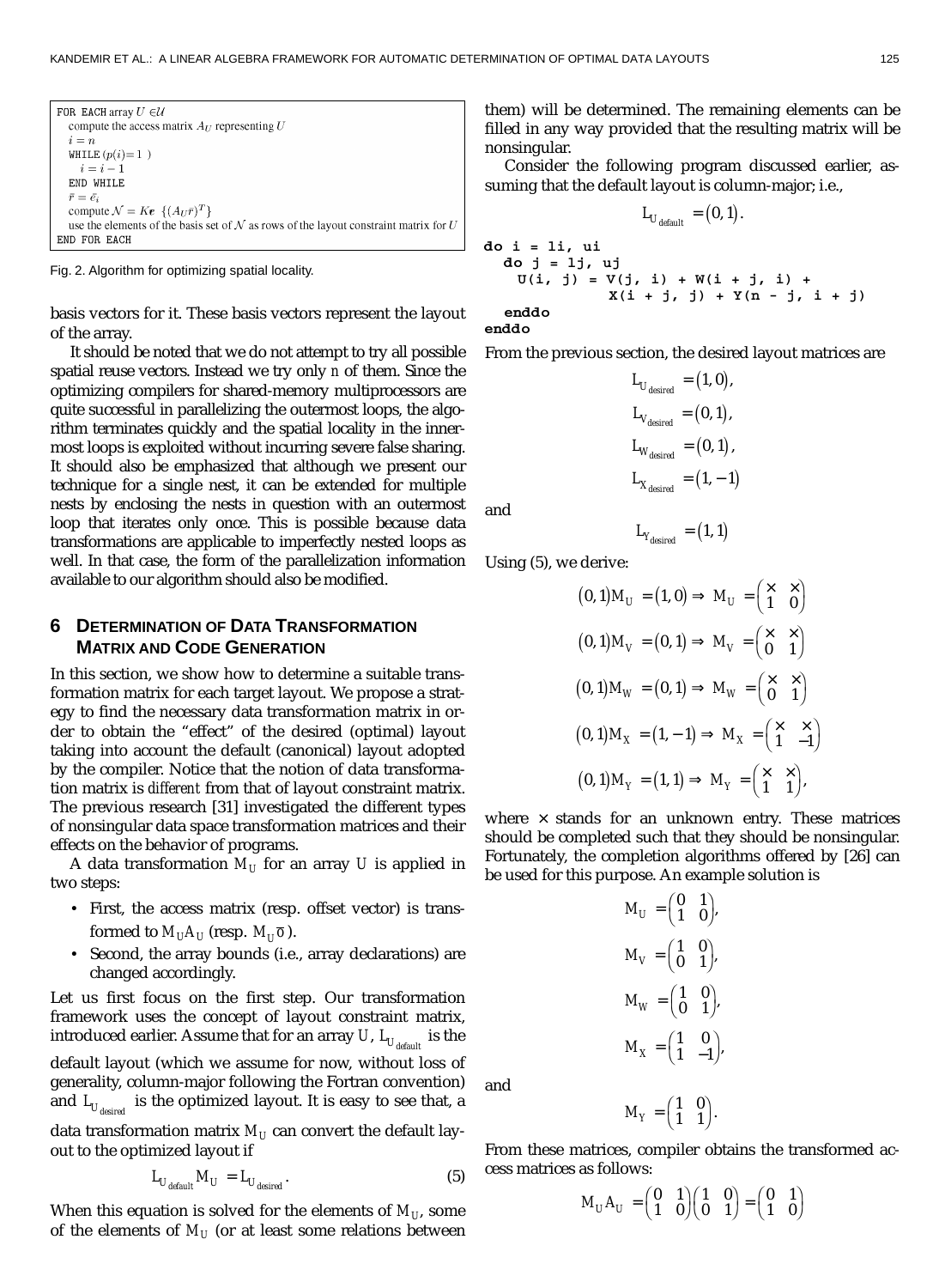```
FOR EACH array U \in \mathcal{U}compute the access matrix A_U representing Ui = nWHILE (p(i)=1)i = i - 1END WHILE
  \bar{r}=\bar{e_i}compute \mathcal{N} = K e \{ (A_U \bar{r})^T \}use the elements of the basis set of N as rows of the layout constraint matrix for U
END FOR EACH
```
Fig. 2. Algorithm for optimizing spatial locality.

basis vectors for it. These basis vectors represent the layout of the array.

It should be noted that we do not attempt to try all possible spatial reuse vectors. Instead we try only *n* of them. Since the optimizing compilers for shared-memory multiprocessors are quite successful in parallelizing the outermost loops, the algorithm terminates quickly and the spatial locality in the innermost loops is exploited without incurring severe false sharing. It should also be emphasized that although we present our technique for a single nest, it can be extended for multiple nests by enclosing the nests in question with an outermost loop that iterates only once. This is possible because data transformations are applicable to imperfectly nested loops as well. In that case, the form of the parallelization information available to our algorithm should also be modified.

## **6 DETERMINATION OF DATA TRANSFORMATION MATRIX AND CODE GENERATION**

In this section, we show how to determine a suitable transformation matrix for each target layout. We propose a strategy to find the necessary data transformation matrix in order to obtain the "effect" of the desired (optimal) layout taking into account the default (canonical) layout adopted by the compiler. Notice that the notion of data transformation matrix is *different* from that of layout constraint matrix. The previous research [31] investigated the different types of nonsingular data space transformation matrices and their effects on the behavior of programs.

A data transformation  $M_U$  for an array  $U$  is applied in two steps:

- First, the access matrix (resp. offset vector) is transformed to  $M_U A_U$  (resp.  $M_U \overline{\mathfrak{g}}$ ).
- Second, the array bounds (i.e., array declarations) are changed accordingly.

Let us first focus on the first step. Our transformation framework uses the concept of layout constraint matrix, introduced earlier. Assume that for an array  $U$ ,  $L_{U_{default}}$  is the

default layout (which we assume for now, without loss of generality, column-major following the Fortran convention) and  $L_{U_{desired}}$  is the optimized layout. It is easy to see that, a data transformation matrix  $M_U$  can convert the default lay-

out to the optimized layout if

$$
L_{U_{\text{default}}} M_U = L_{U_{\text{desired}}}.\tag{5}
$$

When this equation is solved for the elements of  $M_{U}$ , some of the elements of  $M_U$  (or at least some relations between

them) will be determined. The remaining elements can be filled in any way provided that the resulting matrix will be nonsingular.

Consider the following program discussed earlier, assuming that the default layout is column-major; i.e.,  $I = (0, 1)$ 

$$
L_{U_{default}} - (0, 1).
$$
\ndo i = li, ui  
\ndo j = lj, uj  
\nU(i, j) = V(j, i) + W(i + j, i) +  
\nX(i + j, j) + Y(n - j, i + j)  
\nenddo

enddo

From the previous section, the desired layout matrices are

$$
L_{U_{desired}} = (1, 0),
$$
  
\n
$$
L_{V_{desired}} = (0, 1),
$$
  
\n
$$
L_{W_{desired}} = (0, 1),
$$
  
\n
$$
L_{X_{desired}} = (1, -1)
$$

and

and

$$
L_{Y_{desired}} = \big(1,1\big)
$$

Using (5), we derive:

$$
(0,1)M_U = (1,0) \Rightarrow M_U = \begin{pmatrix} \times & \times \\ 1 & 0 \end{pmatrix}
$$

$$
(0,1)M_V = (0,1) \Rightarrow M_V = \begin{pmatrix} \times & \times \\ 0 & 1 \end{pmatrix}
$$

$$
(0,1)M_W = (0,1) \Rightarrow M_W = \begin{pmatrix} \times & \times \\ 0 & 1 \end{pmatrix}
$$

$$
(0,1)M_X = (1,-1) \Rightarrow M_X = \begin{pmatrix} \times & \times \\ 1 & -1 \end{pmatrix}
$$

$$
(0,1)M_Y = (1,1) \Rightarrow M_Y = \begin{pmatrix} \times & \times \\ 1 & 1 \end{pmatrix},
$$

where  $\times$  stands for an unknown entry. These matrices should be completed such that they should be nonsingular. Fortunately, the completion algorithms offered by [26] can be used for this purpose. An example solution is

| $M_U = \begin{pmatrix} 0 & 1 \\ 1 & 0 \end{pmatrix}\!,$ |  |
|---------------------------------------------------------|--|
| $M_V = \begin{pmatrix} 1 & 0 \\ 0 & 1 \end{pmatrix}\!,$ |  |
| $M_W = \begin{pmatrix} 1 & 0 \\ 0 & 1 \end{pmatrix},$   |  |
| $M_X = \begin{pmatrix} 1 & 0 \\ 1 & -1 \end{pmatrix},$  |  |
|                                                         |  |

From these matrices, compiler obtains the transformed access matrices as follows:

י<br>ג

 $M_Y = \begin{pmatrix} 1 & 0 \\ 1 & 1 \end{pmatrix}$ .

$$
M_U A_U = \begin{pmatrix} 0 & 1 \\ 1 & 0 \end{pmatrix} \begin{pmatrix} 1 & 0 \\ 0 & 1 \end{pmatrix} = \begin{pmatrix} 0 & 1 \\ 1 & 0 \end{pmatrix}
$$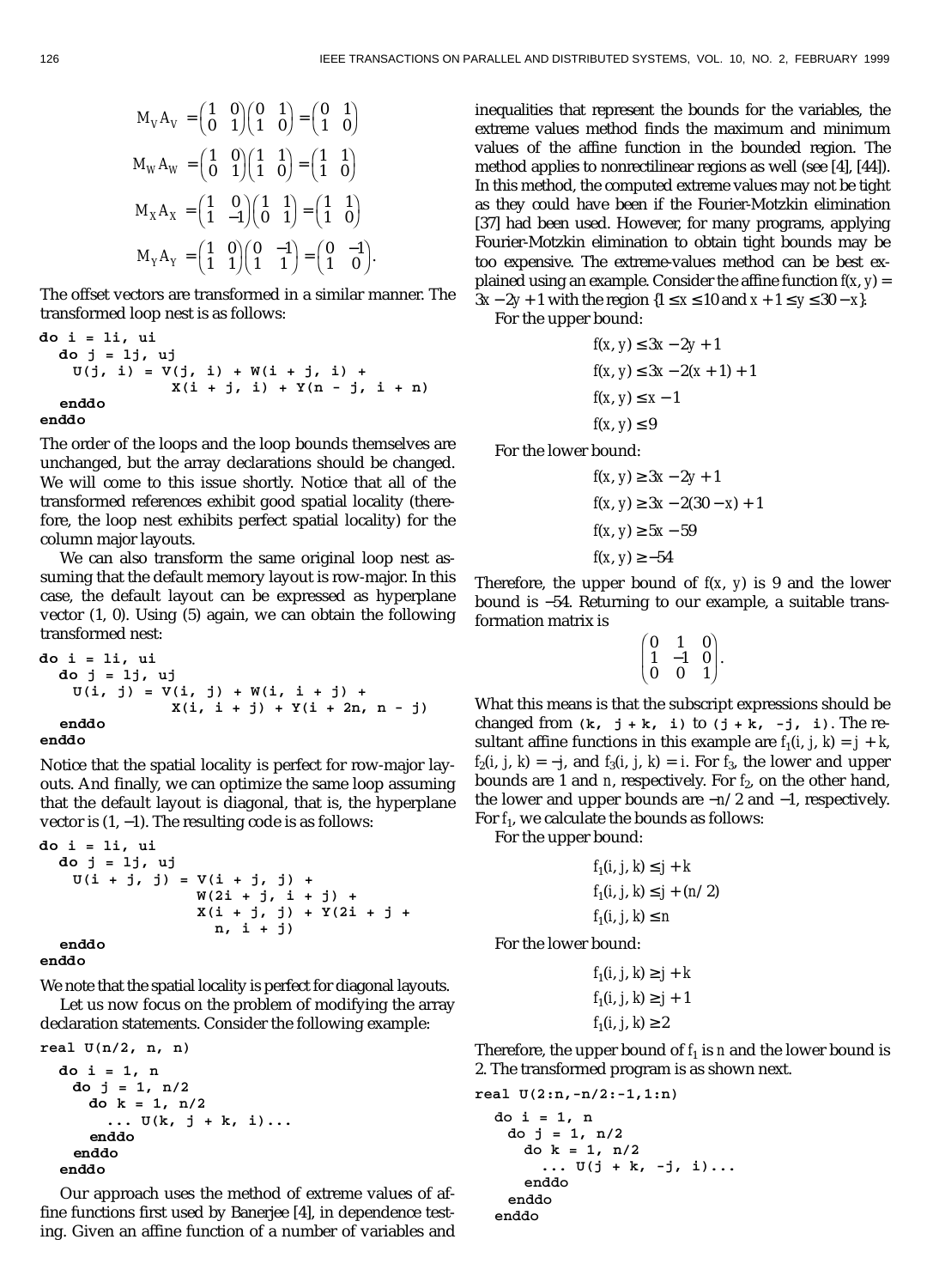$$
M_V A_V = \begin{pmatrix} 1 & 0 \\ 0 & 1 \end{pmatrix} \begin{pmatrix} 0 & 1 \\ 1 & 0 \end{pmatrix} = \begin{pmatrix} 0 & 1 \\ 1 & 0 \end{pmatrix}
$$

$$
M_W A_W = \begin{pmatrix} 1 & 0 \\ 0 & 1 \end{pmatrix} \begin{pmatrix} 1 & 1 \\ 1 & 0 \end{pmatrix} = \begin{pmatrix} 1 & 1 \\ 1 & 0 \end{pmatrix}
$$

$$
M_X A_X = \begin{pmatrix} 1 & 0 \\ 1 & -1 \end{pmatrix} \begin{pmatrix} 1 & 1 \\ 0 & 1 \end{pmatrix} = \begin{pmatrix} 1 & 1 \\ 1 & 0 \end{pmatrix}
$$

$$
M_V A_V = \begin{pmatrix} 1 & 0 \\ 1 & 1 \end{pmatrix} \begin{pmatrix} 0 & -1 \\ 1 & 1 \end{pmatrix} = \begin{pmatrix} 0 & -1 \\ 1 & 0 \end{pmatrix}.
$$

The offset vectors are transformed in a similar manner. The transformed loop nest is as follows:

do i = li, ui do j = lj, uj U(j, i) = V(j, i) + W(i + j, i) + X(i + j, i) + Y(n - j, i + n) enddo enddo

The order of the loops and the loop bounds themselves are unchanged, but the array declarations should be changed. We will come to this issue shortly. Notice that all of the transformed references exhibit good spatial locality (therefore, the loop nest exhibits perfect spatial locality) for the column major layouts.

We can also transform the same original loop nest assuming that the default memory layout is row-major. In this case, the default layout can be expressed as hyperplane vector (1, 0). Using (5) again, we can obtain the following transformed nest:

do i = li, ui do j = lj, uj U(i, j) = V(i, j) + W(i, i + j) + X(i, i + j) + Y(i + 2n, n - j) enddo

enddo

Notice that the spatial locality is perfect for row-major layouts. And finally, we can optimize the same loop assuming that the default layout is diagonal, that is, the hyperplane vector is (1, −1). The resulting code is as follows:

```
do i = li, ui
  do j = lj, uj
   U(i + j, j) = V(i + j, j) +W(2i + j, i + j) +X(i + j, j) + Y(2i + j + j) n, i + j)
  enddo
```
enddo

We note that the spatial locality is perfect for diagonal layouts.

Let us now focus on the problem of modifying the array declaration statements. Consider the following example:

```
real U(n/2, n, n)do i = 1, n
   do j = 1, n/2
     do k = 1, n/2
       ... U(k, j + k, i)...
     enddo
   enddo
  enddo
```
Our approach uses the method of extreme values of affine functions first used by Banerjee [4], in dependence testing. Given an affine function of a number of variables and inequalities that represent the bounds for the variables, the extreme values method finds the maximum and minimum values of the affine function in the bounded region. The method applies to nonrectilinear regions as well (see [4], [44]). In this method, the computed extreme values may not be tight as they could have been if the Fourier-Motzkin elimination [37] had been used. However, for many programs, applying Fourier-Motzkin elimination to obtain tight bounds may be too expensive. The extreme-values method can be best explained using an example. Consider the affine function  $f(x, y) =$ 3*x* − 2*y* + 1 with the region {1 ≤ *x* ≤ 10 and *x* + 1 ≤ *y* ≤ 30 − *x*}.

For the upper bound:

$$
f(x, y) \le 3x - 2y + 1
$$
  
f(x, y) \le 3x - 2(x + 1) + 1  
f(x, y) \le x - 1  
f(x, y) \le 9

For the lower bound:

$$
f(x, y) \ge 3x - 2y + 1
$$
  
f(x, y) \ge 3x - 2(30 - x) + 1  
f(x, y) \ge 5x - 59  
f(x, y) \ge -54

Therefore, the upper bound of *f*(*x*, *y*) is 9 and the lower bound is −54. Returning to our example, a suitable transformation matrix is

$$
\begin{pmatrix}0&1&0\\1&-1&0\\0&0&1\end{pmatrix}\!.
$$

What this means is that the subscript expressions should be changed from  $(k, j + k, i)$  to  $(j + k, -j, i)$ . The resultant affine functions in this example are  $f_1(i, j, k) = j + k$ ,  $f_2(i, j, k) = -j$ , and  $f_3(i, j, k) = i$ . For  $f_3$ , the lower and upper bounds are 1 and  $n$ , respectively. For  $f_2$ , on the other hand, the lower and upper bounds are −*n*/2 and −1, respectively. For  $f_1$ , we calculate the bounds as follows:

For the upper bound:

$$
f_1(i, j, k) \leq j + k
$$
  

$$
f_1(i, j, k) \leq j + (n/2)
$$
  

$$
f_1(i, j, k) \leq n
$$

For the lower bound:

$$
f_1(i, j, k) \geq j + k
$$
  

$$
f_1(i, j, k) \geq j + 1
$$
  

$$
f_1(i, j, k) \geq 2
$$

Therefore, the upper bound of  $f_1$  is *n* and the lower bound is 2. The transformed program is as shown next.

real U(2:n,-n/2:-1,1:n)

```
do i = 1, n
 do j = 1, n/2
   do k = 1, n/2\ldots U(j + k, -j, i)...
   enddo
 enddo
enddo
```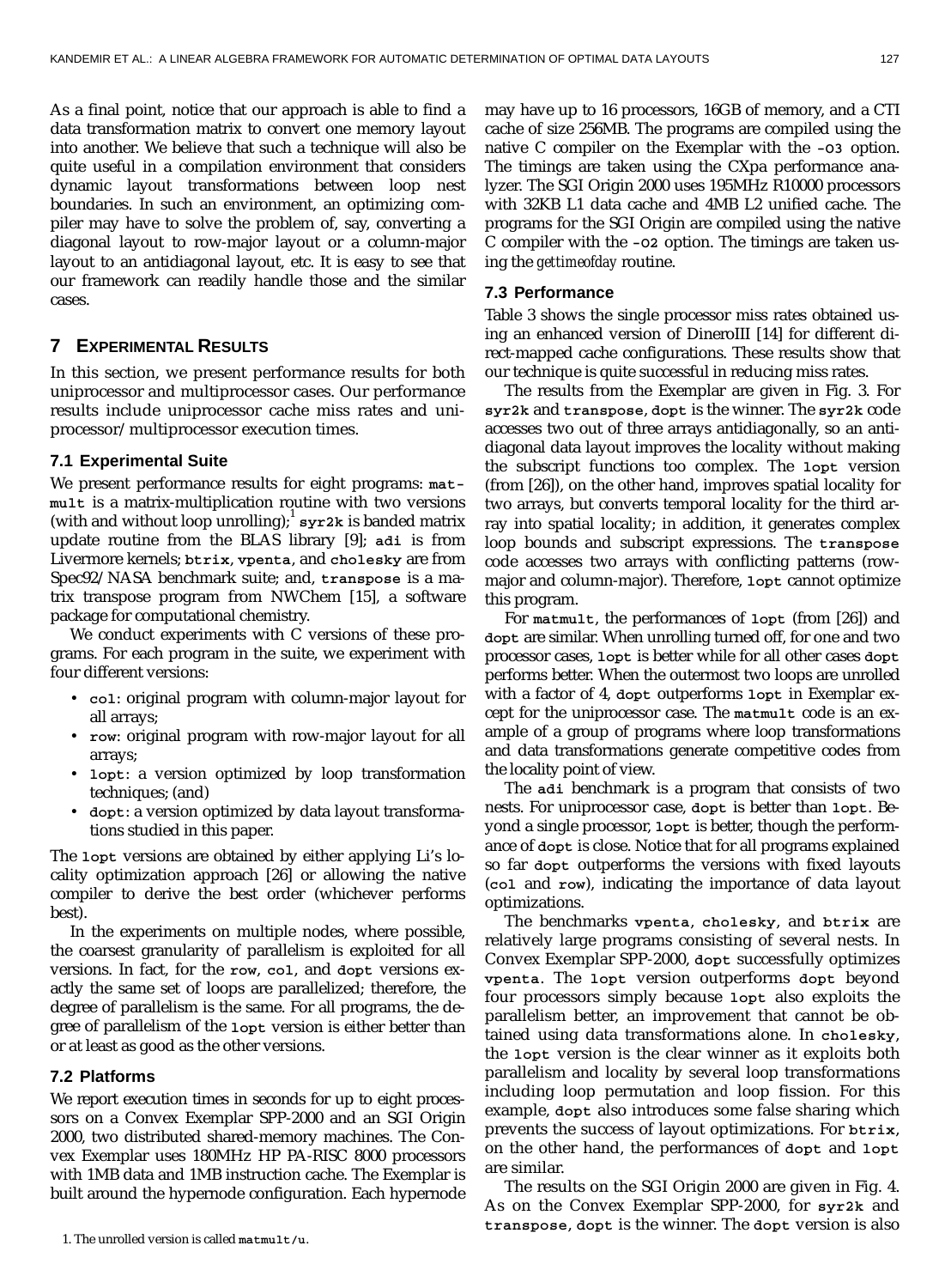As a final point, notice that our approach is able to find a data transformation matrix to convert one memory layout into another. We believe that such a technique will also be quite useful in a compilation environment that considers dynamic layout transformations between loop nest boundaries. In such an environment, an optimizing compiler may have to solve the problem of, say, converting a diagonal layout to row-major layout or a column-major layout to an antidiagonal layout, etc. It is easy to see that our framework can readily handle those and the similar cases.

## **7 EXPERIMENTAL RESULTS**

In this section, we present performance results for both uniprocessor and multiprocessor cases. Our performance results include uniprocessor cache miss rates and uniprocessor/multiprocessor execution times.

## **7.1 Experimental Suite**

We present performance results for eight programs: matmult is a matrix-multiplication routine with two versions (with and without loop unrolling);  $syr2k$  is banded matrix update routine from the BLAS library [9]; adi is from Livermore kernels; btrix, vpenta, and cholesky are from Spec92/NASA benchmark suite; and, transpose is a matrix transpose program from NWChem [15], a software package for computational chemistry.

We conduct experiments with C versions of these programs. For each program in the suite, we experiment with four different versions:

- col: original program with column-major layout for all arrays;
- row: original program with row-major layout for all arrays;
- lopt: a version optimized by loop transformation techniques; (and)
- dopt: a version optimized by data layout transformations studied in this paper.

The lopt versions are obtained by either applying Li's locality optimization approach [26] or allowing the native compiler to derive the best order (whichever performs best).

In the experiments on multiple nodes, where possible, the coarsest granularity of parallelism is exploited for all versions. In fact, for the row, col, and dopt versions exactly the same set of loops are parallelized; therefore, the degree of parallelism is the same. For all programs, the degree of parallelism of the lopt version is either better than or at least as good as the other versions.

#### **7.2 Platforms**

We report execution times in seconds for up to eight processors on a Convex Exemplar SPP-2000 and an SGI Origin 2000, two distributed shared-memory machines. The Convex Exemplar uses 180MHz HP PA-RISC 8000 processors with 1MB data and 1MB instruction cache. The Exemplar is built around the hypernode configuration. Each hypernode may have up to 16 processors, 16GB of memory, and a CTI cache of size 256MB. The programs are compiled using the native C compiler on the Exemplar with the -O3 option. The timings are taken using the CXpa performance analyzer. The SGI Origin 2000 uses 195MHz R10000 processors with 32KB L1 data cache and 4MB L2 unified cache. The programs for the SGI Origin are compiled using the native C compiler with the -O2 option. The timings are taken using the *gettimeofday* routine.

## **7.3 Performance**

Table 3 shows the single processor miss rates obtained using an enhanced version of DineroIII [14] for different direct-mapped cache configurations. These results show that our technique is quite successful in reducing miss rates.

The results from the Exemplar are given in Fig. 3. For syr2k and transpose, dopt is the winner. The syr2k code accesses two out of three arrays antidiagonally, so an antidiagonal data layout improves the locality without making the subscript functions too complex. The lopt version (from [26]), on the other hand, improves spatial locality for two arrays, but converts temporal locality for the third array into spatial locality; in addition, it generates complex loop bounds and subscript expressions. The transpose code accesses two arrays with conflicting patterns (rowmajor and column-major). Therefore, lopt cannot optimize this program.

For matmult, the performances of lopt (from [26]) and dopt are similar. When unrolling turned off, for one and two processor cases, lopt is better while for all other cases dopt performs better. When the outermost two loops are unrolled with a factor of 4, dopt outperforms lopt in Exemplar except for the uniprocessor case. The matmult code is an example of a group of programs where loop transformations and data transformations generate competitive codes from the locality point of view.

The adi benchmark is a program that consists of two nests. For uniprocessor case, dopt is better than lopt. Beyond a single processor, lopt is better, though the performance of dopt is close. Notice that for all programs explained so far dopt outperforms the versions with fixed layouts (col and row), indicating the importance of data layout optimizations.

The benchmarks vpenta, cholesky, and btrix are relatively large programs consisting of several nests. In Convex Exemplar SPP-2000, dopt successfully optimizes vpenta. The lopt version outperforms dopt beyond four processors simply because lopt also exploits the parallelism better, an improvement that cannot be obtained using data transformations alone. In cholesky, the lopt version is the clear winner as it exploits both parallelism and locality by several loop transformations including loop permutation *and* loop fission. For this example, dopt also introduces some false sharing which prevents the success of layout optimizations. For btrix, on the other hand, the performances of dopt and lopt are similar.

The results on the SGI Origin 2000 are given in Fig. 4. As on the Convex Exemplar SPP-2000, for syr2k and transpose, dopt is the winner. The dopt version is also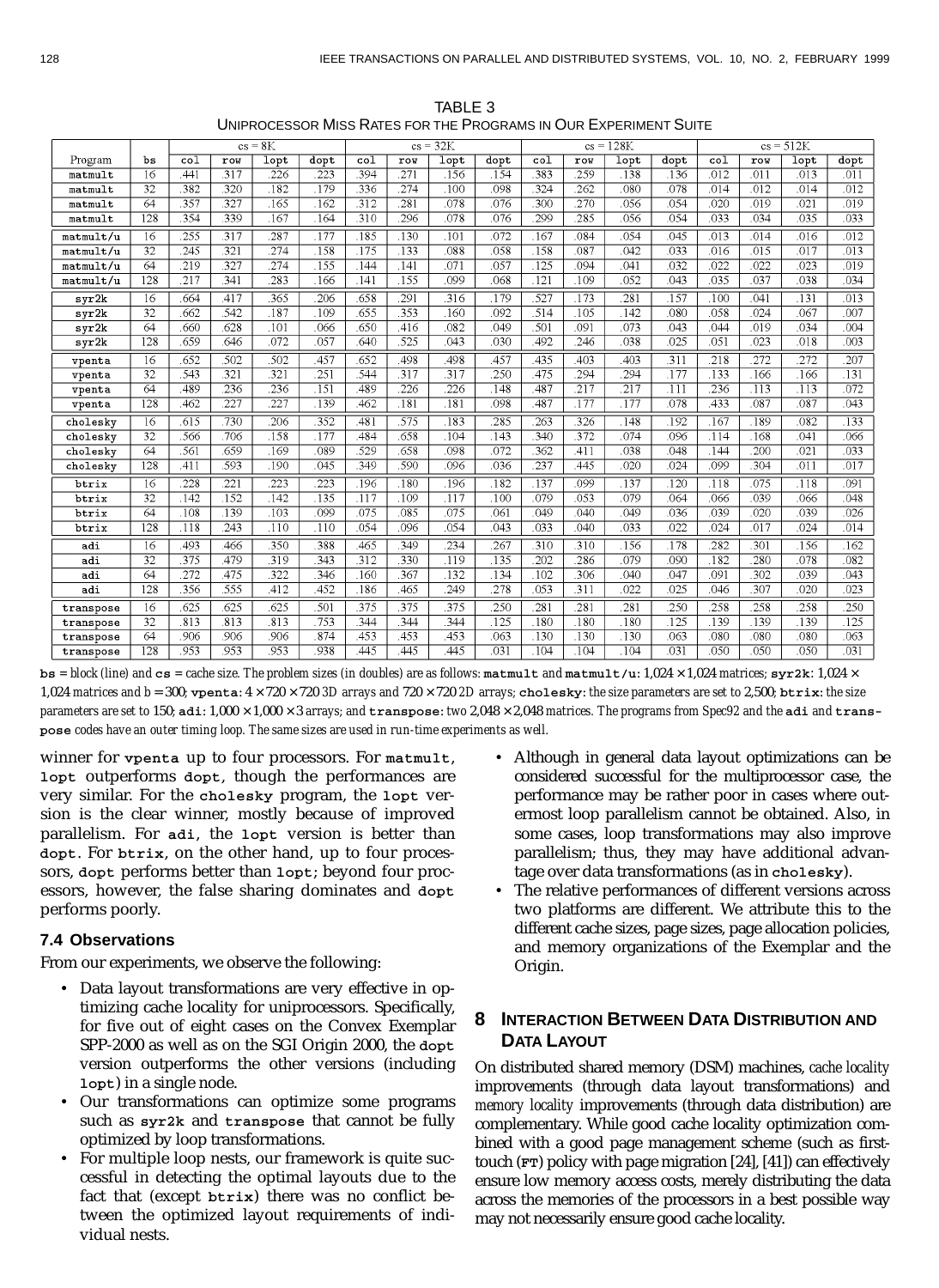|                       |                 | $cs = 8K$ |      |                  | $cs = 32K$ |                   |                   |                    |      |                   | $cs = 128K$ |      | $cs = 512K$ |                  |      |      |                   |
|-----------------------|-----------------|-----------|------|------------------|------------|-------------------|-------------------|--------------------|------|-------------------|-------------|------|-------------|------------------|------|------|-------------------|
| Program               | bs              | col       | row  | lopt             | dopt       | col               | row               | $_{\texttt{lopt}}$ | dopt | col               | row         | lopt | dopt        | col              | row  | lopt | dopt              |
| matmult               | $\overline{16}$ | .441      | .317 | .226             | 223        | .394              | 271               | .156               | .154 | .383              | 259         | .138 | .136        | .012             | 011  | .013 | .011              |
| matmult               | 32              | .382      | .320 | .182             | .179       | .336              | 274               | .100               | .098 | .324              | 262         | .080 | .078        | .014             | .012 | .014 | .012              |
| matmult               | $\overline{64}$ | 357       | .327 | .165             | .162       | .312              | 281               | .078               | .076 | .300              | .270        | .056 | .054        | .020             | .019 | .021 | .019              |
| $m$ atmult            | 128             | .354      | .339 | .167             | .164       | .310              | .296              | .078               | .076 | .299              | .285        | .056 | .054        | .033             | .034 | .035 | .033              |
| matmult/u             | $\overline{16}$ | 255       | .317 | .287             | .177       | .185              | .130              | .101               | .072 | .167              | .084        | .054 | .045        | .013             | .014 | .016 | .012              |
| matmult/u             | $\overline{32}$ | .245      | .321 | .274             | .158       | .175              | $\overline{.133}$ | .088               | .058 | .158              | .087        | .042 | .033        | .016             | .015 | .017 | .013              |
| matmult/u             | 64              | .219      | 327  | .274             | .155       | .144              | .141              | .071               | .057 | .125              | .094        | .041 | .032        | .022             | .022 | .023 | .019              |
| matmult/u             | 128             | .217      | .341 | 283              | .166       | .141              | .155              | .099               | .068 | $\overline{.121}$ | .109        | .052 | .043        | .035             | .037 | .038 | .034              |
| syr2k                 | 16              | .664      | .417 | 365              | 206        | .658              | 291               | .316               | .179 | .527              | .173        | .281 | .157        | .100             | .041 | .131 | .013              |
| syr2k                 | $\overline{32}$ | .662      | .542 | .187             | .109       | .655              | .353              | .160               | .092 | .514              | .105        | .142 | .080        | .058             | .024 | .067 | .007              |
| syr2k                 | 64              | .660      | .628 | .101             | .066       | .650              | .416              | .082               | .049 | .501              | .091        | .073 | .043        | .044             | .019 | .034 | .004              |
| $\sqrt{\text{syr2k}}$ | 128             | 659       | 646  | .072             | .057       | .640              | .525              | .043               | .030 | .492              | .246        | .038 | .025        | .051             | .023 | .018 | .003              |
| vpenta                | 16              | .652      | .502 | .502             | .457       | .652              | 498               | .498               | .457 | .435              | 403         | .403 | .311        | .218             | .272 | .272 | .207              |
| vpenta                | $\overline{32}$ | 543       | 321  | .321             | .251       | 544               | .317              | .317               | 250  | .475              | .294        | .294 | .177        | $\overline{133}$ | .166 | .166 | $\overline{.131}$ |
| vpenta                | 64              | .489      | 236  | .236             | .151       | .489              | 226               | .226               | .148 | .487              | .217        | .217 | .111        | .236             | .113 | .113 | .072              |
| vpenta                | 128             | .462      | 227  | .227             | .139       | .462              | .181              | .181               | .098 | .487              | .177        | .177 | .078        | 433              | .087 | .087 | .043              |
| cholesky              | 16              | .615      | .730 | .206             | .352       | .481              | .575              | .183               | 285  | .263              | .326        | .148 | .192        | .167             | .189 | .082 | .133              |
| cholesky              | $\overline{32}$ | .566      | .706 | .158             | .177       | .484              | .658              | .104               | .143 | .340              | .372        | .074 | .096        | .114             | .168 | .041 | .066              |
| cholesky              | 64              | .561      | .659 | .169             | .089       | .529              | .658              | .098               | .072 | .362              | .411        | .038 | .048        | .144             | .200 | .021 | .033              |
| cholesky              | 128             | .411      | 593  | .190             | .045       | 349               | .590              | .096               | .036 | .237              | .445        | .020 | .024        | .099             | 304  | .011 | .017              |
| btrix                 | 16              | 228       | 221  | .223             | .223       | .196              | .180              | .196               | .182 | .137              | .099        | .137 | .120        | .118             | .075 | .118 | .091              |
| btrix                 | $\overline{32}$ | .142      | .152 | .142             | .135       | .117              | .109              | .117               | .100 | .079              | .053        | .079 | .064        | .066             | .039 | .066 | .048              |
| btrix                 | 64              | .108      | .139 | .103             | .099       | .075              | .085              | .075               | .061 | .049              | .040        | .049 | .036        | .039             | .020 | .039 | .026              |
| btrix                 | 128             | .118      | .243 | .110             | .110       | .054              | .096              | .054               | .043 | .033              | .040        | .033 | .022        | .024             | .017 | .024 | .014              |
| adi                   | 16              | .493      | 466  | .350             | .388       | .465              | .349              | .234               | 267  | .310              | .310        | .156 | .178        | .282             | .301 | .156 | .162              |
| adi                   | $\overline{32}$ | .375      | .479 | .319             | .343       | $\overline{.312}$ | .330              | .119               | .135 | .202              | .286        | .079 | .090        | .182             | 280  | .078 | .082              |
| adi                   | 64              | .272      | .475 | $\overline{322}$ | .346       | .160              | .367              | .132               | .134 | .102              | .306        | .040 | .047        | .091             | .302 | .039 | .043              |
| adi                   | 128             | 356       | 555  | .412             | .452       | .186              | .465              | .249               | .278 | .053              | .311        | .022 | .025        | .046             | 307  | .020 | .023              |
| transpose             | 16              | .625      | .625 | .625             | .501       | 375               | .375              | 375                | 250  | .281              | .281        | .281 | 250         | .258             | .258 | .258 | .250              |
| transpose             | $\overline{32}$ | .813      | .813 | .813             | .753       | 344               | 344               | 344                | .125 | .180              | .180        | .180 | .125        | .139             | .139 | .139 | .125              |
| transpose             | 64              | .906      | 906  | .906             | .874       | .453              | 453               | .453               | .063 | .130              | .130        | .130 | .063        | .080             | .080 | .080 | .063              |
| transpose             | 128             | 953       | 953  | .953             | 938        | .445              | 445               | .445               | .031 | .104              | .104        | .104 | .031        | .050             | .050 | .050 | .031              |

TABLE 3 UNIPROCESSOR MISS RATES FOR THE PROGRAMS IN OUR EXPERIMENT SUITE

bs = block (line) and cs = cache size. The problem sizes (in doubles) are as follows: matmult and matmult/u: 1,024 × 1,024 matrices; syr2k: 1,024 × 1,024 *matrices and b* = 300*;* vpenta: 4 × 720 × 720 *3D arrays and* 720 × 720 *2D arrays;* cholesky: *the size parameters are set to* 2,500*;* btrix: *the size parameters are set to* 150*;* adi: 1,000 × 1,000 × 3 *arrays; and* transpose: *two* 2,048 × 2,048 *matrices. The programs from Spec92 and the* adi *and* transpose *codes have an outer timing loop. The same sizes are used in run-time experiments as well.*

winner for vpenta up to four processors. For matmult, lopt outperforms dopt, though the performances are very similar. For the cholesky program, the lopt version is the clear winner, mostly because of improved parallelism. For adi, the lopt version is better than dopt. For btrix, on the other hand, up to four processors, dopt performs better than lopt; beyond four processors, however, the false sharing dominates and dopt performs poorly.

#### **7.4 Observations**

From our experiments, we observe the following:

- Data layout transformations are very effective in optimizing cache locality for uniprocessors. Specifically, for five out of eight cases on the Convex Exemplar SPP-2000 as well as on the SGI Origin 2000, the dopt version outperforms the other versions (including lopt) in a single node.
- Our transformations can optimize some programs such as syr2k and transpose that cannot be fully optimized by loop transformations.
- For multiple loop nests, our framework is quite successful in detecting the optimal layouts due to the fact that (except btrix) there was no conflict between the optimized layout requirements of individual nests.
- Although in general data layout optimizations can be considered successful for the multiprocessor case, the performance may be rather poor in cases where outermost loop parallelism cannot be obtained. Also, in some cases, loop transformations may also improve parallelism; thus, they may have additional advantage over data transformations (as in cholesky).
- The relative performances of different versions across two platforms are different. We attribute this to the different cache sizes, page sizes, page allocation policies, and memory organizations of the Exemplar and the Origin.

## **8 INTERACTION BETWEEN DATA DISTRIBUTION AND DATA LAYOUT**

On distributed shared memory (DSM) machines, *cache locality* improvements (through data layout transformations) and *memory locality* improvements (through data distribution) are complementary. While good cache locality optimization combined with a good page management scheme (such as firsttouch (FT) policy with page migration [24], [41]) can effectively ensure low memory access costs, merely distributing the data across the memories of the processors in a best possible way may not necessarily ensure good cache locality.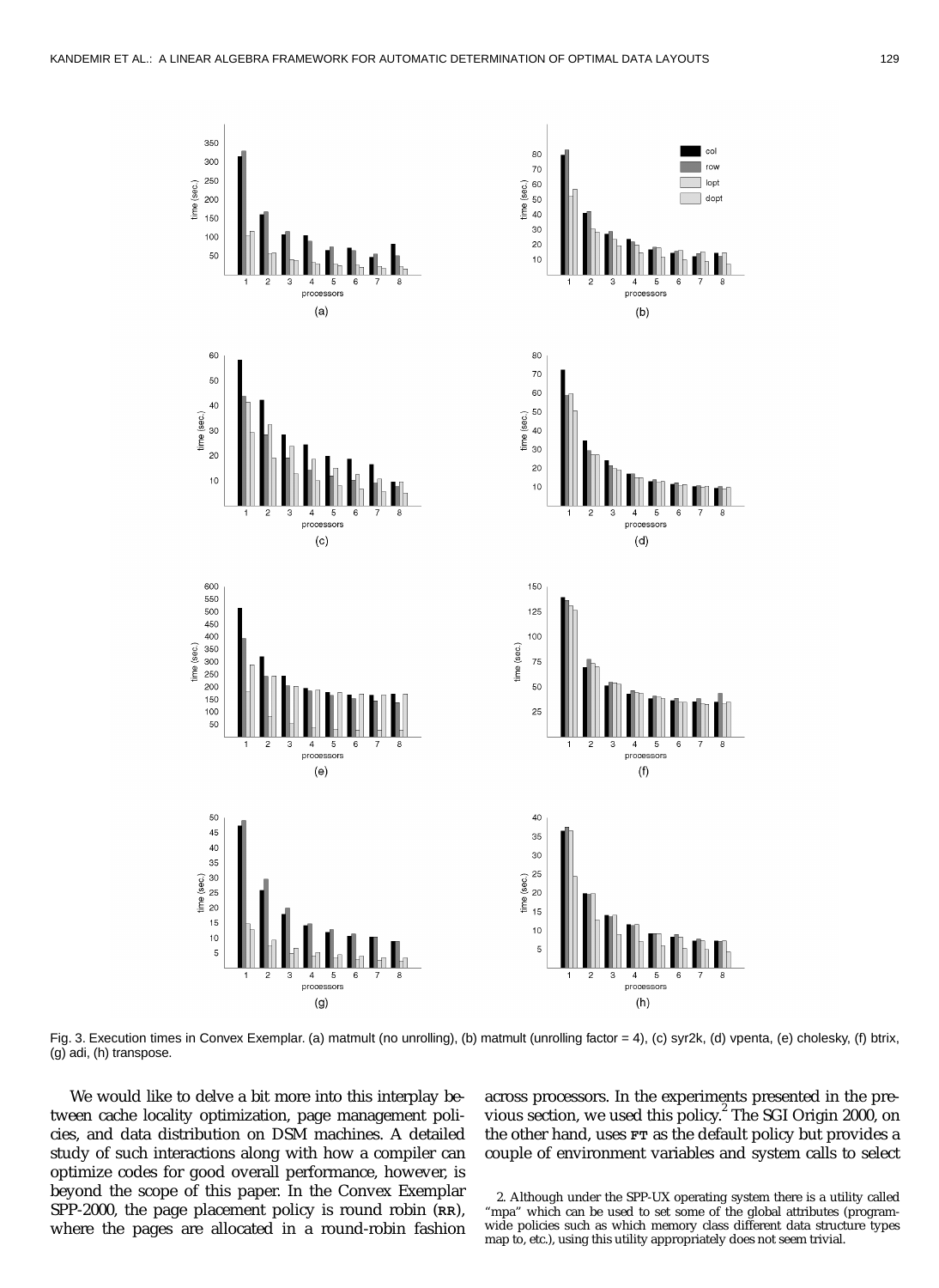

Fig. 3. Execution times in Convex Exemplar. (a) matmult (no unrolling), (b) matmult (unrolling factor = 4), (c) syr2k, (d) vpenta, (e) cholesky, (f) btrix, (g) adi, (h) transpose.

We would like to delve a bit more into this interplay between cache locality optimization, page management policies, and data distribution on DSM machines. A detailed study of such interactions along with how a compiler can optimize codes for good overall performance, however, is beyond the scope of this paper. In the Convex Exemplar SPP-2000, the page placement policy is round robin (RR), where the pages are allocated in a round-robin fashion across processors. In the experiments presented in the previous section, we used this policy.<sup>2</sup> The SGI Origin 2000, on the other hand, uses FT as the default policy but provides a couple of environment variables and system calls to select

<sup>2.</sup> Although under the SPP-UX operating system there is a utility called "mpa" which can be used to set some of the global attributes (programwide policies such as which memory class different data structure types map to, etc.), using this utility appropriately does not seem trivial.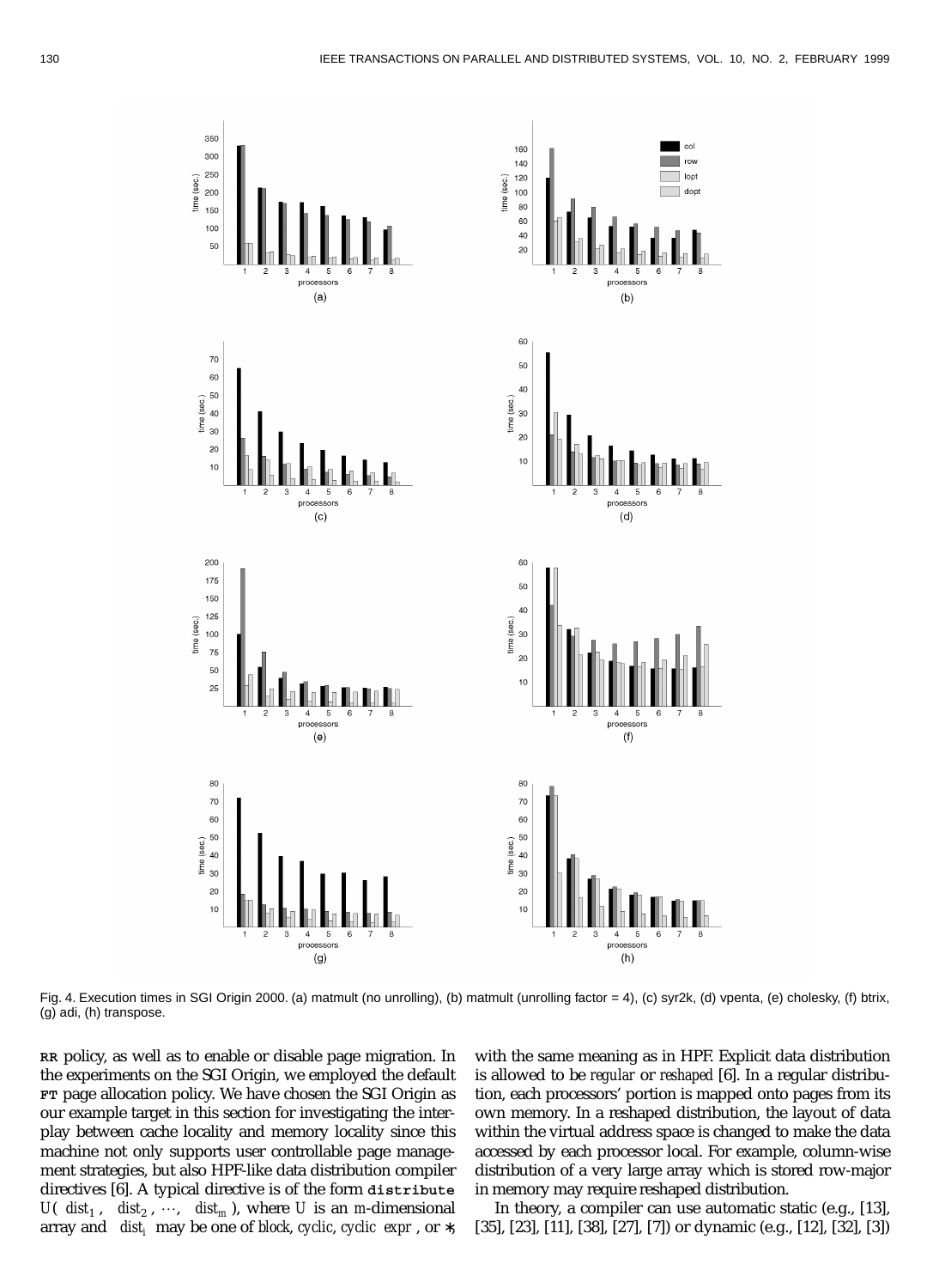

Fig. 4. Execution times in SGI Origin 2000. (a) matmult (no unrolling), (b) matmult (unrolling factor = 4), (c) syr2k, (d) vpenta, (e) cholesky, (f) btrix, (g) adi, (h) transpose.

RR policy, as well as to enable or disable page migration. In the experiments on the SGI Origin, we employed the default FT page allocation policy. We have chosen the SGI Origin as our example target in this section for investigating the interplay between cache locality and memory locality since this machine not only supports user controllable page management strategies, but also HPF-like data distribution compiler directives [6]. A typical directive is of the form distribute  $U(\langle dist_1 \rangle, \langle dist_2 \rangle, \cdots, \langle dist_m \rangle)$ , where *U* is an *m*-dimensional array and 〈*disti* 〉 may be one of *block*, *cyclic*, *cyclic* 〈*expr*〉, or ∗,

with the same meaning as in HPF. Explicit data distribution is allowed to be *regular* or *reshaped* [6]. In a regular distribution, each processors' portion is mapped onto pages from its own memory. In a reshaped distribution, the layout of data within the virtual address space is changed to make the data accessed by each processor local. For example, column-wise distribution of a very large array which is stored row-major in memory may require reshaped distribution.

In theory, a compiler can use automatic static (e.g., [13], [35], [23], [11], [38], [27], [7]) or dynamic (e.g., [12], [32], [3])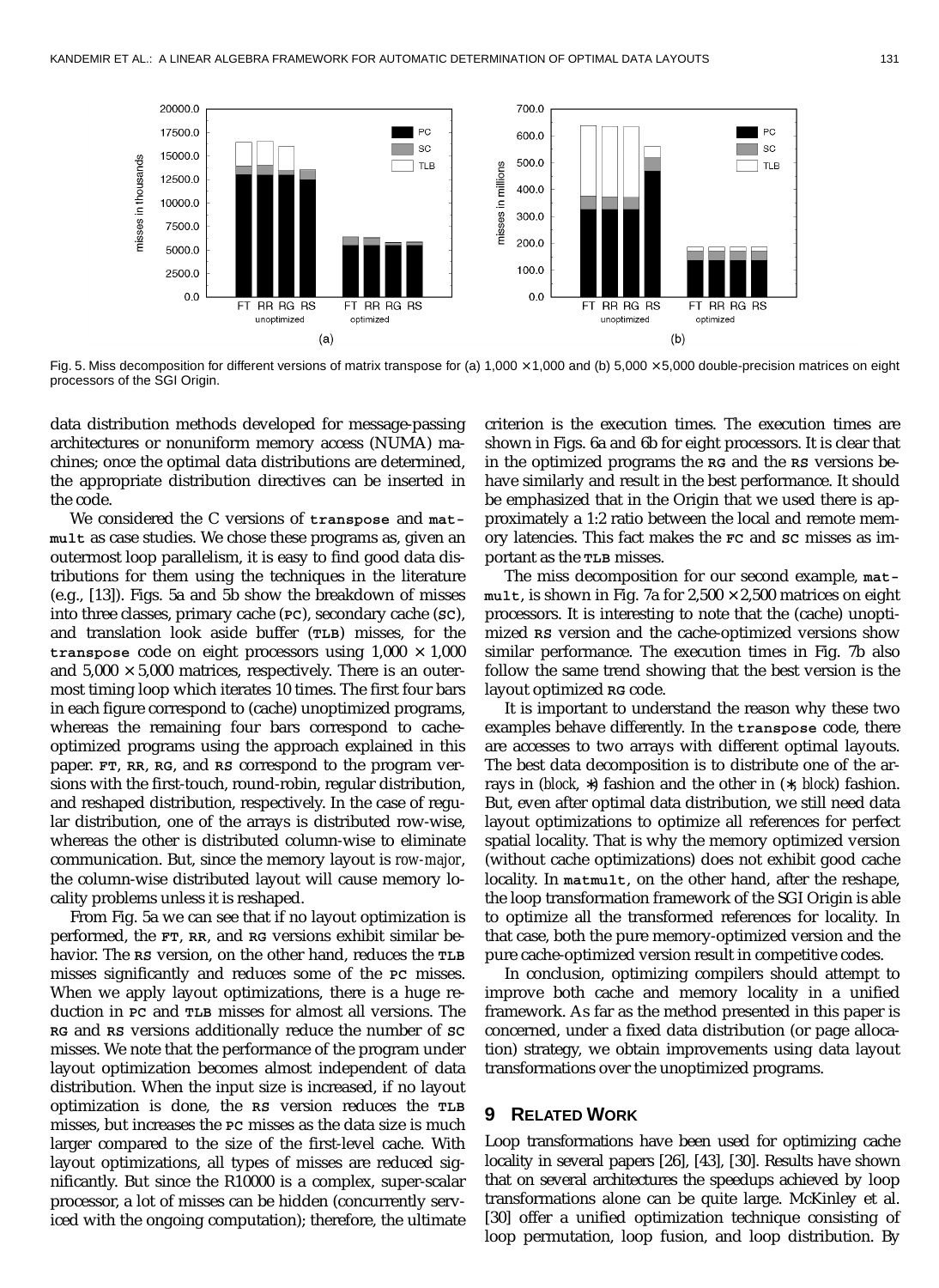

Fig. 5. Miss decomposition for different versions of matrix transpose for (a)  $1,000 \times 1,000$  and (b)  $5,000 \times 5,000$  double-precision matrices on eight processors of the SGI Origin.

data distribution methods developed for message-passing architectures or nonuniform memory access (NUMA) machines; once the optimal data distributions are determined, the appropriate distribution directives can be inserted in the code.

We considered the C versions of transpose and matmult as case studies. We chose these programs as, given an outermost loop parallelism, it is easy to find good data distributions for them using the techniques in the literature (e.g., [13]). Figs. 5a and 5b show the breakdown of misses into three classes, primary cache (PC), secondary cache (SC), and translation look aside buffer (TLB) misses, for the transpose code on eight processors using  $1,000 \times 1,000$ and  $5,000 \times 5,000$  matrices, respectively. There is an outermost timing loop which iterates 10 times. The first four bars in each figure correspond to (cache) unoptimized programs, whereas the remaining four bars correspond to cacheoptimized programs using the approach explained in this paper. FT, RR, RG, and RS correspond to the program versions with the first-touch, round-robin, regular distribution, and reshaped distribution, respectively. In the case of regular distribution, one of the arrays is distributed row-wise, whereas the other is distributed column-wise to eliminate communication. But, since the memory layout is *row-major*, the column-wise distributed layout will cause memory locality problems unless it is reshaped.

From Fig. 5a we can see that if no layout optimization is performed, the FT, RR, and RG versions exhibit similar behavior. The RS version, on the other hand, reduces the TLB misses significantly and reduces some of the PC misses. When we apply layout optimizations, there is a huge reduction in PC and TLB misses for almost all versions. The RG and RS versions additionally reduce the number of SC misses. We note that the performance of the program under layout optimization becomes almost independent of data distribution. When the input size is increased, if no layout optimization is done, the RS version reduces the TLB misses, but increases the PC misses as the data size is much larger compared to the size of the first-level cache. With layout optimizations, all types of misses are reduced significantly. But since the R10000 is a complex, super-scalar processor, a lot of misses can be hidden (concurrently serviced with the ongoing computation); therefore, the ultimate

criterion is the execution times. The execution times are shown in Figs. 6a and 6b for eight processors. It is clear that in the optimized programs the RG and the RS versions behave similarly and result in the best performance. It should be emphasized that in the Origin that we used there is approximately a 1:2 ratio between the local and remote memory latencies. This fact makes the FC and SC misses as important as the TLB misses.

The miss decomposition for our second example, matmult, is shown in Fig. 7a for  $2,500 \times 2,500$  matrices on eight processors. It is interesting to note that the (cache) unoptimized RS version and the cache-optimized versions show similar performance. The execution times in Fig. 7b also follow the same trend showing that the best version is the layout optimized RG code.

It is important to understand the reason why these two examples behave differently. In the transpose code, there are accesses to two arrays with different optimal layouts. The best data decomposition is to distribute one of the arrays in (*block*, ∗) fashion and the other in (∗, *block*) fashion. But, even after optimal data distribution, we still need data layout optimizations to optimize all references for perfect spatial locality. That is why the memory optimized version (without cache optimizations) does not exhibit good cache locality. In matmult, on the other hand, after the reshape, the loop transformation framework of the SGI Origin is able to optimize all the transformed references for locality. In that case, both the pure memory-optimized version and the pure cache-optimized version result in competitive codes.

In conclusion, optimizing compilers should attempt to improve both cache and memory locality in a unified framework. As far as the method presented in this paper is concerned, under a fixed data distribution (or page allocation) strategy, we obtain improvements using data layout transformations over the unoptimized programs.

## **9 RELATED WORK**

Loop transformations have been used for optimizing cache locality in several papers [26], [43], [30]. Results have shown that on several architectures the speedups achieved by loop transformations alone can be quite large. McKinley et al. [30] offer a unified optimization technique consisting of loop permutation, loop fusion, and loop distribution. By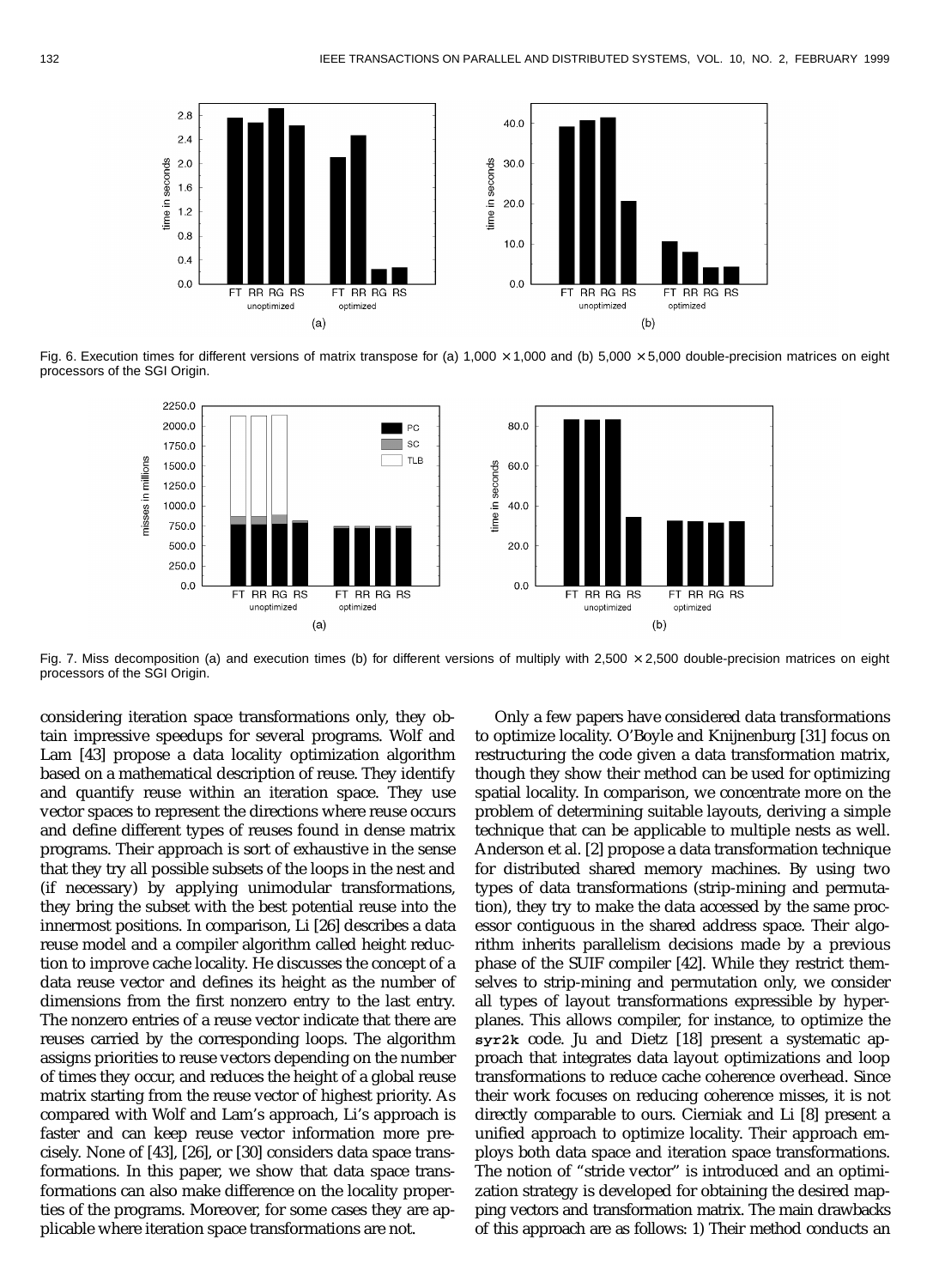

Fig. 6. Execution times for different versions of matrix transpose for (a) 1,000  $\times$  1,000 and (b) 5,000  $\times$  5,000 double-precision matrices on eight processors of the SGI Origin.



Fig. 7. Miss decomposition (a) and execution times (b) for different versions of multiply with  $2,500 \times 2,500$  double-precision matrices on eight processors of the SGI Origin.

considering iteration space transformations only, they obtain impressive speedups for several programs. Wolf and Lam [43] propose a data locality optimization algorithm based on a mathematical description of reuse. They identify and quantify reuse within an iteration space. They use vector spaces to represent the directions where reuse occurs and define different types of reuses found in dense matrix programs. Their approach is sort of exhaustive in the sense that they try all possible subsets of the loops in the nest and (if necessary) by applying unimodular transformations, they bring the subset with the best potential reuse into the innermost positions. In comparison, Li [26] describes a data reuse model and a compiler algorithm called height reduction to improve cache locality. He discusses the concept of a data reuse vector and defines its height as the number of dimensions from the first nonzero entry to the last entry. The nonzero entries of a reuse vector indicate that there are reuses carried by the corresponding loops. The algorithm assigns priorities to reuse vectors depending on the number of times they occur, and reduces the height of a global reuse matrix starting from the reuse vector of highest priority. As compared with Wolf and Lam's approach, Li's approach is faster and can keep reuse vector information more precisely. None of [43], [26], or [30] considers data space transformations. In this paper, we show that data space transformations can also make difference on the locality properties of the programs. Moreover, for some cases they are applicable where iteration space transformations are not.

Only a few papers have considered data transformations to optimize locality. O'Boyle and Knijnenburg [31] focus on restructuring the code given a data transformation matrix, though they show their method can be used for optimizing spatial locality. In comparison, we concentrate more on the problem of determining suitable layouts, deriving a simple technique that can be applicable to multiple nests as well. Anderson et al. [2] propose a data transformation technique for distributed shared memory machines. By using two types of data transformations (strip-mining and permutation), they try to make the data accessed by the same processor contiguous in the shared address space. Their algorithm inherits parallelism decisions made by a previous phase of the SUIF compiler [42]. While they restrict themselves to strip-mining and permutation only, we consider all types of layout transformations expressible by hyperplanes. This allows compiler, for instance, to optimize the syr2k code. Ju and Dietz [18] present a systematic approach that integrates data layout optimizations and loop transformations to reduce cache coherence overhead. Since their work focuses on reducing coherence misses, it is not directly comparable to ours. Cierniak and Li [8] present a unified approach to optimize locality. Their approach employs both data space and iteration space transformations. The notion of "stride vector" is introduced and an optimization strategy is developed for obtaining the desired mapping vectors and transformation matrix. The main drawbacks of this approach are as follows: 1) Their method conducts an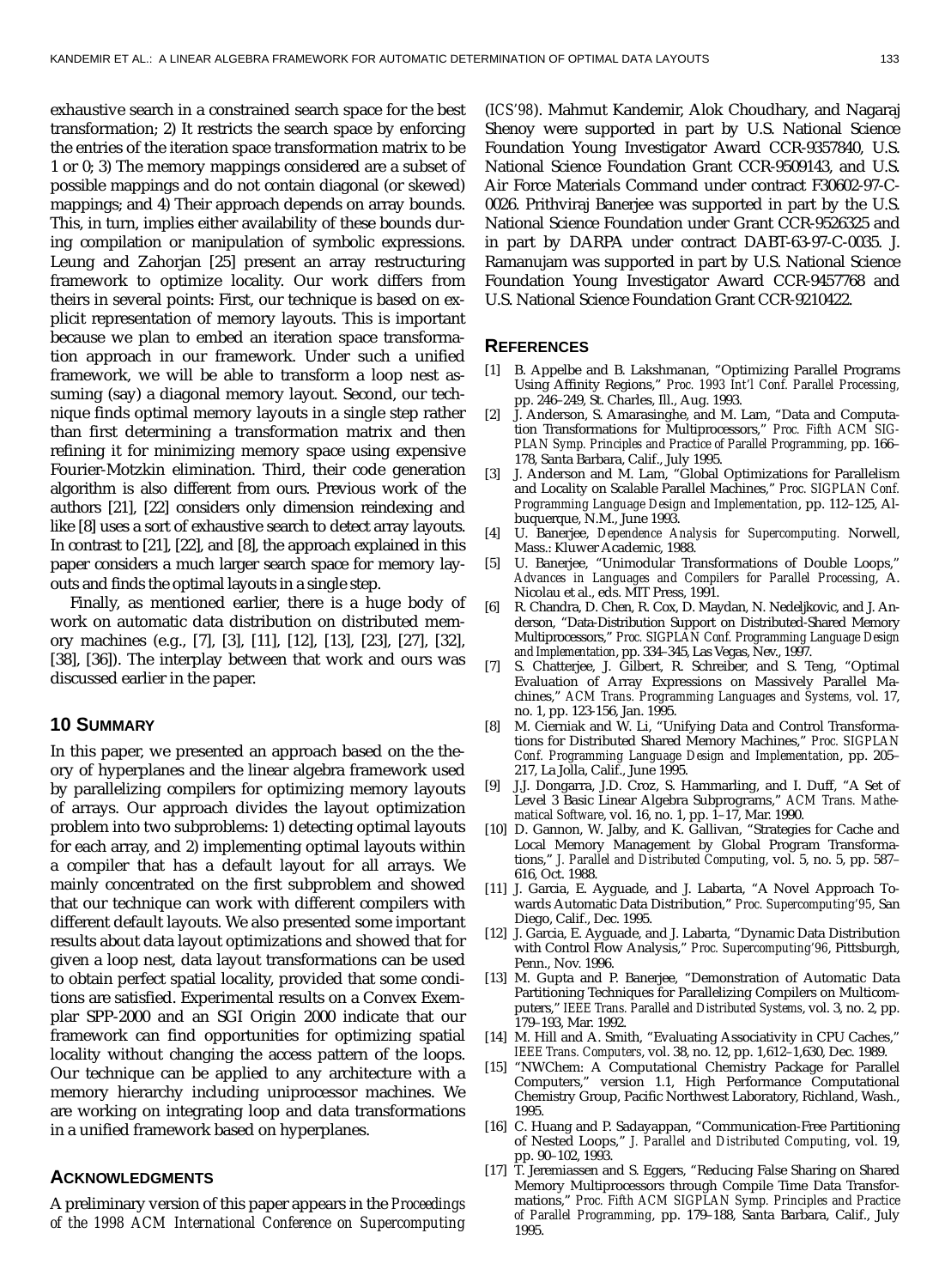exhaustive search in a constrained search space for the best transformation; 2) It restricts the search space by enforcing the entries of the iteration space transformation matrix to be 1 or 0; 3) The memory mappings considered are a subset of possible mappings and do not contain diagonal (or skewed) mappings; and 4) Their approach depends on array bounds. This, in turn, implies either availability of these bounds during compilation or manipulation of symbolic expressions. Leung and Zahorjan [25] present an array restructuring framework to optimize locality. Our work differs from theirs in several points: First, our technique is based on explicit representation of memory layouts. This is important because we plan to embed an iteration space transformation approach in our framework. Under such a unified framework, we will be able to transform a loop nest assuming (say) a diagonal memory layout. Second, our technique finds optimal memory layouts in a single step rather than first determining a transformation matrix and then refining it for minimizing memory space using expensive Fourier-Motzkin elimination. Third, their code generation algorithm is also different from ours. Previous work of the authors [21], [22] considers only dimension reindexing and like [8] uses a sort of exhaustive search to detect array layouts. In contrast to [21], [22], and [8], the approach explained in this paper considers a much larger search space for memory layouts and finds the optimal layouts in a single step.

Finally, as mentioned earlier, there is a huge body of work on automatic data distribution on distributed memory machines (e.g., [7], [3], [11], [12], [13], [23], [27], [32], [38], [36]). The interplay between that work and ours was discussed earlier in the paper.

#### **10 SUMMARY**

In this paper, we presented an approach based on the theory of hyperplanes and the linear algebra framework used by parallelizing compilers for optimizing memory layouts of arrays. Our approach divides the layout optimization problem into two subproblems: 1) detecting optimal layouts for each array, and 2) implementing optimal layouts within a compiler that has a default layout for all arrays. We mainly concentrated on the first subproblem and showed that our technique can work with different compilers with different default layouts. We also presented some important results about data layout optimizations and showed that for given a loop nest, data layout transformations can be used to obtain perfect spatial locality, provided that some conditions are satisfied. Experimental results on a Convex Exemplar SPP-2000 and an SGI Origin 2000 indicate that our framework can find opportunities for optimizing spatial locality without changing the access pattern of the loops. Our technique can be applied to any architecture with a memory hierarchy including uniprocessor machines. We are working on integrating loop and data transformations in a unified framework based on hyperplanes.

### **ACKNOWLEDGMENTS**

A preliminary version of this paper appears in the *Proceedings of the 1998 ACM International Conference on Supercomputing*

(*ICS'98*). Mahmut Kandemir, Alok Choudhary, and Nagaraj Shenoy were supported in part by U.S. National Science Foundation Young Investigator Award CCR-9357840, U.S. National Science Foundation Grant CCR-9509143, and U.S. Air Force Materials Command under contract F30602-97-C-0026. Prithviraj Banerjee was supported in part by the U.S. National Science Foundation under Grant CCR-9526325 and in part by DARPA under contract DABT-63-97-C-0035. J. Ramanujam was supported in part by U.S. National Science Foundation Young Investigator Award CCR-9457768 and U.S. National Science Foundation Grant CCR-9210422.

#### **REFERENCES**

- [1] B. Appelbe and B. Lakshmanan, "Optimizing Parallel Programs Using Affinity Regions," *Proc. 1993 Int'l Conf. Parallel Processing,* pp. 246–249, St. Charles, Ill., Aug. 1993.
- [2] J. Anderson, S. Amarasinghe, and M. Lam, "Data and Computation Transformations for Multiprocessors," *Proc. Fifth ACM SIG-PLAN Symp. Principles and Practice of Parallel Programming*, pp. 166– 178, Santa Barbara, Calif., July 1995.
- [3] J. Anderson and M. Lam, "Global Optimizations for Parallelism and Locality on Scalable Parallel Machines," *Proc. SIGPLAN Conf. Programming Language Design and Implementation*, pp. 112–125, Albuquerque, N.M., June 1993.
- [4] U. Banerjee, *Dependence Analysis for Supercomputing.* Norwell, Mass.: Kluwer Academic, 1988.
- [5] U. Banerjee, "Unimodular Transformations of Double Loops," *Advances in Languages and Compilers for Parallel Processing*, A. Nicolau et al., eds. MIT Press, 1991.
- [6] R. Chandra, D. Chen, R. Cox, D. Maydan, N. Nedeljkovic, and J. Anderson, "Data-Distribution Support on Distributed-Shared Memory Multiprocessors," *Proc. SIGPLAN Conf. Programming Language Design and Implementation*, pp. 334–345, Las Vegas, Nev., 1997.
- [7] S. Chatterjee, J. Gilbert, R. Schreiber, and S. Teng, "Optimal Evaluation of Array Expressions on Massively Parallel Machines," *ACM Trans. Programming Languages and Systems,* vol. 17, no. 1, pp. 123-156, Jan. 1995.
- [8] M. Cierniak and W. Li, "Unifying Data and Control Transformations for Distributed Shared Memory Machines," *Proc. SIGPLAN Conf. Programming Language Design and Implementation*, pp. 205– 217, La Jolla, Calif., June 1995.
- [9] J.J. Dongarra, J.D. Croz, S. Hammarling, and I. Duff, "A Set of Level 3 Basic Linear Algebra Subprograms," *ACM Trans. Mathematical Software*, vol. 16, no. 1, pp. 1–17, Mar. 1990.
- [10] D. Gannon, W. Jalby, and K. Gallivan, "Strategies for Cache and Local Memory Management by Global Program Transformations," *J. Parallel and Distributed Computing*, vol. 5, no. 5, pp. 587– 616, Oct. 1988.
- [11] J. Garcia, E. Ayguade, and J. Labarta, "A Novel Approach Towards Automatic Data Distribution," *Proc. Supercomputing'95*, San Diego, Calif., Dec. 1995.
- [12] J. Garcia, E. Ayguade, and J. Labarta, "Dynamic Data Distribution with Control Flow Analysis," *Proc. Supercomputing'96*, Pittsburgh, Penn., Nov. 1996.
- [13] M. Gupta and P. Banerjee, "Demonstration of Automatic Data Partitioning Techniques for Parallelizing Compilers on Multicomputers," *IEEE Trans. Parallel and Distributed Systems*, vol. 3, no. 2, pp. 179–193, Mar. 1992.
- [14] M. Hill and A. Smith, "Evaluating Associativity in CPU Caches," *IEEE Trans. Computers*, vol. 38, no. 12, pp. 1,612–1,630, Dec. 1989.
- [15] "NWChem: A Computational Chemistry Package for Parallel Computers," version 1.1, High Performance Computational Chemistry Group, Pacific Northwest Laboratory, Richland, Wash., 1995.
- [16] C. Huang and P. Sadayappan, "Communication-Free Partitioning of Nested Loops," *J. Parallel and Distributed Computing*, vol. 19, pp. 90–102, 1993.
- [17] T. Jeremiassen and S. Eggers, "Reducing False Sharing on Shared Memory Multiprocessors through Compile Time Data Transformations," Proc. Fifth ACM SIGPLAN Symp. Principles and Practice  $"$  *Proc. Fifth ACM SIGPLAN Symp. Principles and Practice of Parallel Programming*, pp. 179–188, Santa Barbara, Calif., July 1995.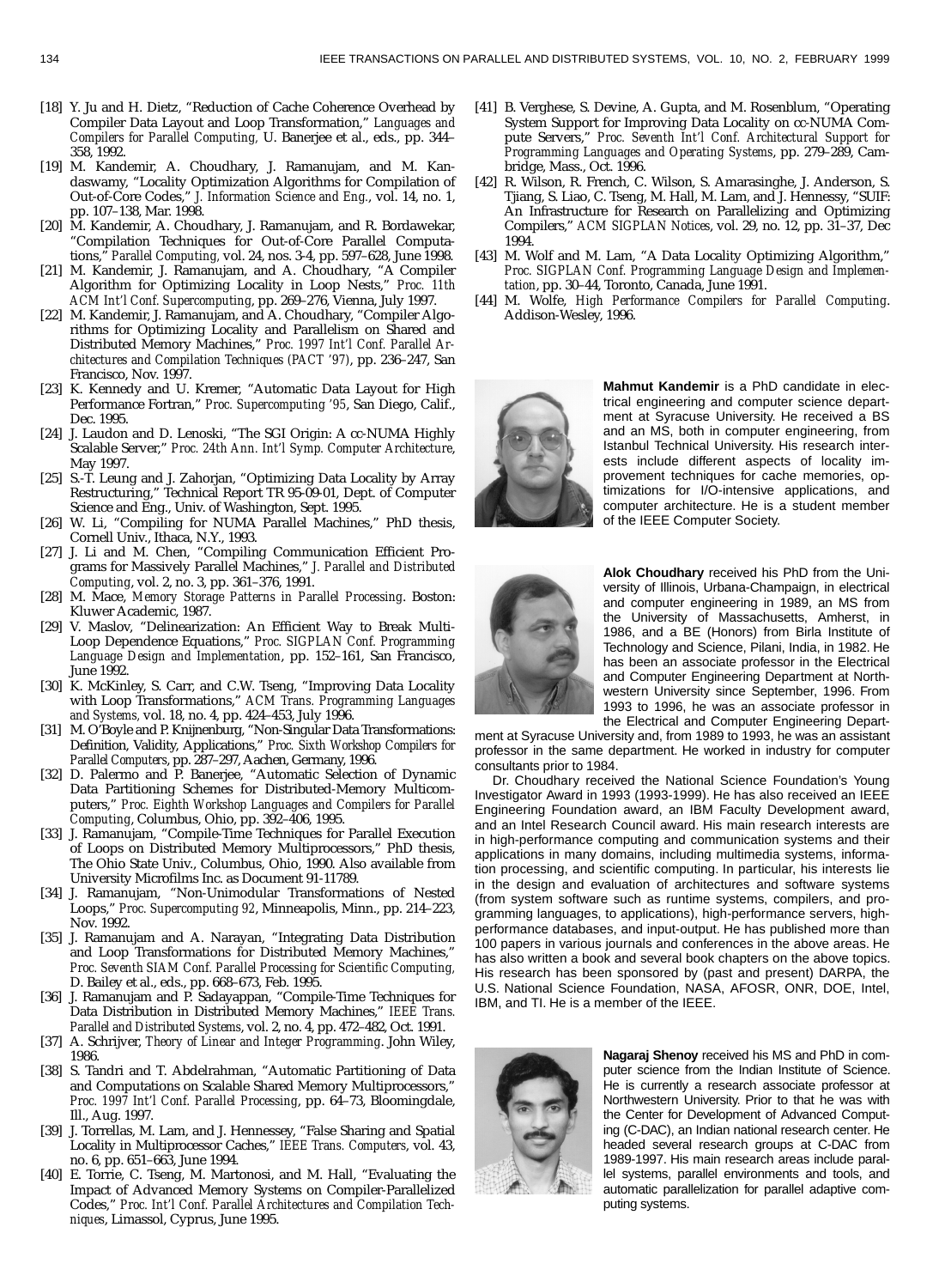- [18] Y. Ju and H. Dietz, "Reduction of Cache Coherence Overhead by Compiler Data Layout and Loop Transformation," *Languages and Compilers for Parallel Computing,* U. Banerjee et al., eds., pp. 344– 358, 1992.
- [19] M. Kandemir, A. Choudhary, J. Ramanujam, and M. Kandaswamy, "Locality Optimization Algorithms for Compilation of Out-of-Core Codes," *J. Information Science and Eng.*, vol. 14, no. 1, pp. 107–138, Mar. 1998.
- [20] M. Kandemir, A. Choudhary, J. Ramanujam, and R. Bordawekar, "Compilation Techniques for Out-of-Core Parallel Computations," *Parallel Computing,* vol. 24, nos. 3-4, pp. 597–628, June 1998.
- [21] M. Kandemir, J. Ramanujam, and A. Choudhary, "A Compiler Algorithm for Optimizing Locality in Loop Nests," *Proc. 11th ACM Int'l Conf. Supercomputing*, pp. 269–276, Vienna, July 1997.
- [22] M. Kandemir, J. Ramanujam, and A. Choudhary, "Compiler Algorithms for Optimizing Locality and Parallelism on Shared and Distributed Memory Machines," *Proc. 1997 Int'l Conf. Parallel Architectures and Compilation Techniques (PACT '97)*, pp. 236–247, San Francisco, Nov. 1997.
- [23] K. Kennedy and U. Kremer, "Automatic Data Layout for High Performance Fortran," *Proc. Supercomputing '95*, San Diego, Calif., Dec. 1995.
- [24] J. Laudon and D. Lenoski, "The SGI Origin: A cc-NUMA Highly Scalable Server," *Proc. 24th Ann. Int'l Symp. Computer Architecture*, May 1997.
- [25] S.-T. Leung and J. Zahorjan, "Optimizing Data Locality by Array Restructuring," Technical Report TR 95-09-01, Dept. of Computer Science and Eng., Univ. of Washington, Sept. 1995.
- [26] W. Li, "Compiling for NUMA Parallel Machines," PhD thesis, Cornell Univ., Ithaca, N.Y., 1993.
- [27] J. Li and M. Chen, "Compiling Communication Efficient Programs for Massively Parallel Machines," *J. Parallel and Distributed Computing*, vol. 2, no. 3, pp. 361–376, 1991.
- [28] M. Mace, *Memory Storage Patterns in Parallel Processing*. Boston: Kluwer Academic, 1987.
- [29] V. Maslov, "Delinearization: An Efficient Way to Break Multi-Loop Dependence Equations," *Proc. SIGPLAN Conf. Programming Language Design and Implementation*, pp. 152–161, San Francisco, June 1992.
- [30] K. McKinley, S. Carr, and C.W. Tseng, "Improving Data Locality with Loop Transformations," *ACM Trans. Programming Languages and Systems,* vol. 18, no. 4, pp. 424–453, July 1996.
- [31] M. O'Boyle and P. Knijnenburg, "Non-Singular Data Transformations: Definition, Validity, Applications," *Proc. Sixth Workshop Compilers for Parallel Computers*, pp. 287–297, Aachen, Germany, 1996.
- [32] D. Palermo and P. Banerjee, "Automatic Selection of Dynamic Data Partitioning Schemes for Distributed-Memory Multicomputers," *Proc. Eighth Workshop Languages and Compilers for Parallel Computing*, Columbus, Ohio, pp. 392–406, 1995.
- [33] J. Ramanujam, "Compile-Time Techniques for Parallel Execution of Loops on Distributed Memory Multiprocessors," PhD thesis, The Ohio State Univ., Columbus, Ohio, 1990. Also available from University Microfilms Inc. as Document 91-11789.
- [34] J. Ramanujam, "Non-Unimodular Transformations of Nested Loops," *Proc. Supercomputing 92*, Minneapolis, Minn., pp. 214–223, Nov. 1992.
- [35] J. Ramanujam and A. Narayan, "Integrating Data Distribution and Loop Transformations for Distributed Memory Machines,' *Proc. Seventh SIAM Conf. Parallel Processing for Scientific Computing,* D. Bailey et al., eds., pp. 668–673, Feb. 1995.
- [36] J. Ramanujam and P. Sadayappan, "Compile-Time Techniques for Data Distribution in Distributed Memory Machines," *IEEE Trans. Parallel and Distributed Systems*, vol. 2, no. 4, pp. 472–482, Oct. 1991.
- [37] A. Schrijver, *Theory of Linear and Integer Programming*. John Wiley, 1986.
- [38] S. Tandri and T. Abdelrahman, "Automatic Partitioning of Data and Computations on Scalable Shared Memory Multiprocessors," *Proc. 1997 Int'l Conf. Parallel Processing*, pp. 64–73, Bloomingdale, Ill., Aug. 1997.
- [39] J. Torrellas, M. Lam, and J. Hennessey, "False Sharing and Spatial Locality in Multiprocessor Caches," *IEEE Trans. Computers*, vol. 43, no. 6, pp. 651–663, June 1994.
- [40] E. Torrie, C. Tseng, M. Martonosi, and M. Hall, "Evaluating the Impact of Advanced Memory Systems on Compiler-Parallelized Codes," *Proc. Int'l Conf. Parallel Architectures and Compilation Techniques*, Limassol, Cyprus, June 1995.
- [41] B. Verghese, S. Devine, A. Gupta, and M. Rosenblum, "Operating System Support for Improving Data Locality on cc-NUMA Compute Servers," *Proc. Seventh Int'l Conf. Architectural Support for Programming Languages and Operating Systems*, pp. 279–289, Cambridge, Mass., Oct. 1996.
- [42] R. Wilson, R. French, C. Wilson, S. Amarasinghe, J. Anderson, S. Tjiang, S. Liao, C. Tseng, M. Hall, M. Lam, and J. Hennessy, "SUIF: An Infrastructure for Research on Parallelizing and Optimizing Compilers," *ACM SIGPLAN Notices*, vol. 29, no. 12, pp. 31–37, Dec 1994.
- [43] M. Wolf and M. Lam, "A Data Locality Optimizing Algorithm," *Proc. SIGPLAN Conf. Programming Language Design and Implementation*, pp. 30–44, Toronto, Canada, June 1991.
- [44] M. Wolfe, *High Performance Compilers for Parallel Computing*. Addison-Wesley, 1996.



**Mahmut Kandemir** is a PhD candidate in electrical engineering and computer science department at Syracuse University. He received a BS and an MS, both in computer engineering, from Istanbul Technical University. His research interests include different aspects of locality improvement techniques for cache memories, optimizations for I/O-intensive applications, and computer architecture. He is a student member of the IEEE Computer Society.



**Alok Choudhary** received his PhD from the University of Illinois, Urbana-Champaign, in electrical and computer engineering in 1989, an MS from the University of Massachusetts, Amherst, in 1986, and a BE (Honors) from Birla Institute of Technology and Science, Pilani, India, in 1982. He has been an associate professor in the Electrical and Computer Engineering Department at Northwestern University since September, 1996. From 1993 to 1996, he was an associate professor in the Electrical and Computer Engineering Depart-

ment at Syracuse University and, from 1989 to 1993, he was an assistant professor in the same department. He worked in industry for computer consultants prior to 1984.

Dr. Choudhary received the National Science Foundation's Young Investigator Award in 1993 (1993-1999). He has also received an IEEE Engineering Foundation award, an IBM Faculty Development award, and an Intel Research Council award. His main research interests are in high-performance computing and communication systems and their applications in many domains, including multimedia systems, information processing, and scientific computing. In particular, his interests lie in the design and evaluation of architectures and software systems (from system software such as runtime systems, compilers, and programming languages, to applications), high-performance servers, highperformance databases, and input-output. He has published more than 100 papers in various journals and conferences in the above areas. He has also written a book and several book chapters on the above topics. His research has been sponsored by (past and present) DARPA, the U.S. National Science Foundation, NASA, AFOSR, ONR, DOE, Intel, IBM, and TI. He is a member of the IEEE.



**Nagaraj Shenoy** received his MS and PhD in computer science from the Indian Institute of Science. He is currently a research associate professor at Northwestern University. Prior to that he was with the Center for Development of Advanced Computing (C-DAC), an Indian national research center. He headed several research groups at C-DAC from 1989-1997. His main research areas include parallel systems, parallel environments and tools, and automatic parallelization for parallel adaptive computing systems.